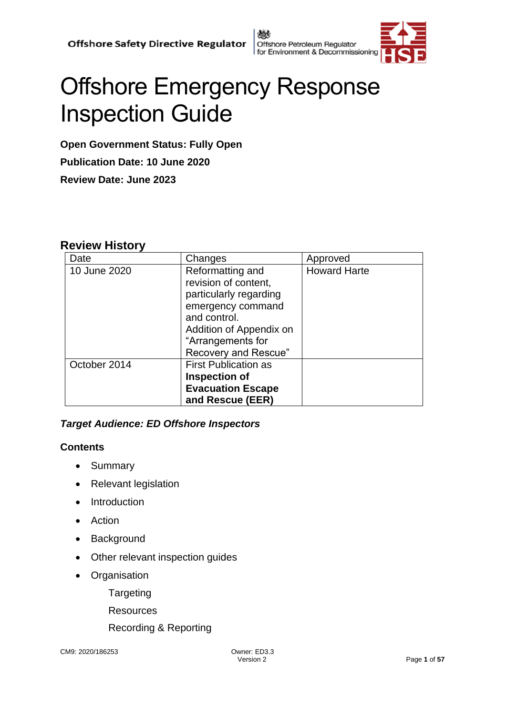戀 Offshore Petroleum Regulator for Environment & Decommissioning



# Offshore Emergency Response Inspection Guide

**Open Government Status: Fully Open Publication Date: 10 June 2020 Review Date: June 2023**

## **Review History**

| Date         | Changes                                                                                                                                                                         | Approved            |
|--------------|---------------------------------------------------------------------------------------------------------------------------------------------------------------------------------|---------------------|
| 10 June 2020 | Reformatting and<br>revision of content,<br>particularly regarding<br>emergency command<br>and control.<br>Addition of Appendix on<br>"Arrangements for<br>Recovery and Rescue" | <b>Howard Harte</b> |
| October 2014 | <b>First Publication as</b><br><b>Inspection of</b><br><b>Evacuation Escape</b><br>and Rescue (EER)                                                                             |                     |

#### *Target Audience: ED Offshore Inspectors*

#### **Contents**

- Summary
- Relevant legislation
- Introduction
- Action
- Background
- Other relevant inspection guides
- Organisation

**Targeting** 

Resources

Recording & Reporting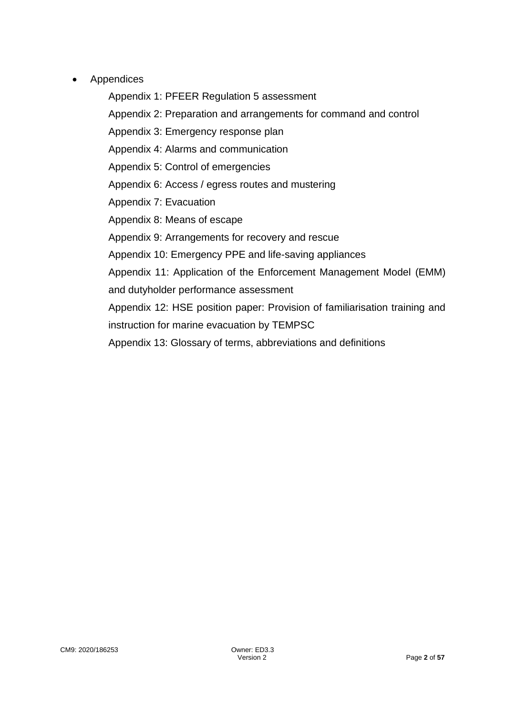**Appendices** 

Appendix 1: PFEER Regulation 5 assessment Appendix 2: Preparation and arrangements for command and control Appendix 3: Emergency response plan Appendix 4: Alarms and communication Appendix 5: Control of emergencies Appendix 6: Access / egress routes and mustering Appendix 7: Evacuation Appendix 8: Means of escape Appendix 9: Arrangements for recovery and rescue Appendix 10: Emergency PPE and life-saving appliances Appendix 11: Application of the Enforcement Management Model (EMM) and dutyholder performance assessment Appendix 12: HSE position paper: Provision of familiarisation training and instruction for marine evacuation by TEMPSC Appendix 13: Glossary of terms, abbreviations and definitions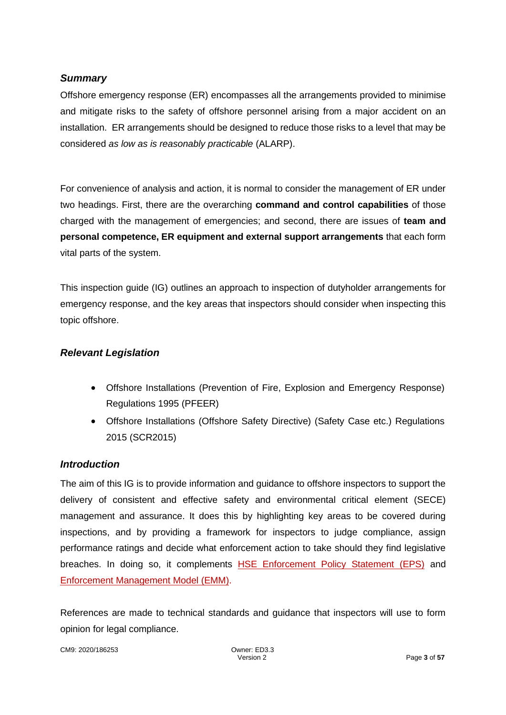#### *Summary*

Offshore emergency response (ER) encompasses all the arrangements provided to minimise and mitigate risks to the safety of offshore personnel arising from a major accident on an installation. ER arrangements should be designed to reduce those risks to a level that may be considered *as low as is reasonably practicable* (ALARP).

For convenience of analysis and action, it is normal to consider the management of ER under two headings. First, there are the overarching **command and control capabilities** of those charged with the management of emergencies; and second, there are issues of **team and personal competence, ER equipment and external support arrangements** that each form vital parts of the system.

This inspection guide (IG) outlines an approach to inspection of dutyholder arrangements for emergency response, and the key areas that inspectors should consider when inspecting this topic offshore.

#### *Relevant Legislation*

- Offshore Installations (Prevention of Fire, Explosion and Emergency Response) Regulations 1995 (PFEER)
- Offshore Installations (Offshore Safety Directive) (Safety Case etc.) Regulations 2015 (SCR2015)

#### *Introduction*

The aim of this IG is to provide information and guidance to offshore inspectors to support the delivery of consistent and effective safety and environmental critical element (SECE) management and assurance. It does this by highlighting key areas to be covered during inspections, and by providing a framework for inspectors to judge compliance, assign performance ratings and decide what enforcement action to take should they find legislative breaches. In doing so, it complements [HSE Enforcement Policy Statement \(EPS\)](http://www.hse.gov.uk/pubns/hse41.pdf) and [Enforcement Management Model \(EMM\).](http://www.hse.gov.uk/enforce/emm.pdf)

References are made to technical standards and guidance that inspectors will use to form opinion for legal compliance.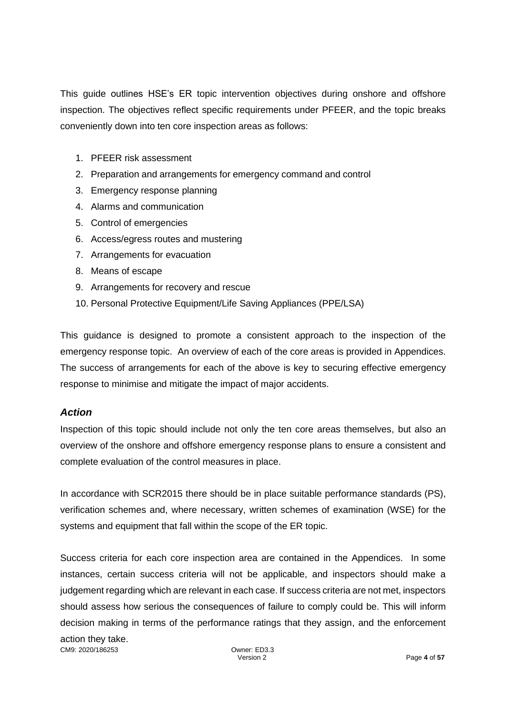This guide outlines HSE's ER topic intervention objectives during onshore and offshore inspection. The objectives reflect specific requirements under PFEER, and the topic breaks conveniently down into ten core inspection areas as follows:

- 1. PFEER risk assessment
- 2. Preparation and arrangements for emergency command and control
- 3. Emergency response planning
- 4. Alarms and communication
- 5. Control of emergencies
- 6. Access/egress routes and mustering
- 7. Arrangements for evacuation
- 8. Means of escape
- 9. Arrangements for recovery and rescue
- 10. Personal Protective Equipment/Life Saving Appliances (PPE/LSA)

This guidance is designed to promote a consistent approach to the inspection of the emergency response topic. An overview of each of the core areas is provided in Appendices. The success of arrangements for each of the above is key to securing effective emergency response to minimise and mitigate the impact of major accidents.

#### *Action*

Inspection of this topic should include not only the ten core areas themselves, but also an overview of the onshore and offshore emergency response plans to ensure a consistent and complete evaluation of the control measures in place.

In accordance with SCR2015 there should be in place suitable performance standards (PS), verification schemes and, where necessary, written schemes of examination (WSE) for the systems and equipment that fall within the scope of the ER topic.

Success criteria for each core inspection area are contained in the Appendices. In some instances, certain success criteria will not be applicable, and inspectors should make a judgement regarding which are relevant in each case. If success criteria are not met, inspectors should assess how serious the consequences of failure to comply could be. This will inform decision making in terms of the performance ratings that they assign, and the enforcement

CM9: 2020/186253 Owner: ED3.3 action they take.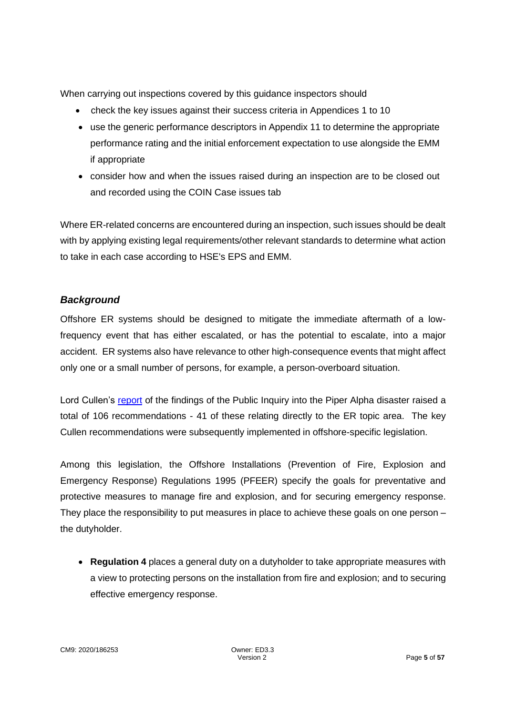When carrying out inspections covered by this guidance inspectors should

- check the key issues against their success criteria in Appendices 1 to 10
- use the generic performance descriptors in Appendix 11 to determine the appropriate performance rating and the initial enforcement expectation to use alongside the EMM if appropriate
- consider how and when the issues raised during an inspection are to be closed out and recorded using the COIN Case issues tab

Where ER-related concerns are encountered during an inspection, such issues should be dealt with by applying existing legal requirements/other relevant standards to determine what action to take in each case according to HSE's EPS and EMM.

## *Background*

Offshore ER systems should be designed to mitigate the immediate aftermath of a lowfrequency event that has either escalated, or has the potential to escalate, into a major accident. ER systems also have relevance to other high-consequence events that might affect only one or a small number of persons, for example, a person-overboard situation.

Lord Cullen's [report](https://www.hse.gov.uk/offshore/piper-alpha-disaster-public-inquiry.htm) of the findings of the Public Inquiry into the Piper Alpha disaster raised a total of 106 recommendations - 41 of these relating directly to the ER topic area. The key Cullen recommendations were subsequently implemented in offshore-specific legislation.

Among this legislation, the Offshore Installations (Prevention of Fire, Explosion and Emergency Response) Regulations 1995 (PFEER) specify the goals for preventative and protective measures to manage fire and explosion, and for securing emergency response. They place the responsibility to put measures in place to achieve these goals on one person – the dutyholder.

• **Regulation 4** places a general duty on a dutyholder to take appropriate measures with a view to protecting persons on the installation from fire and explosion; and to securing effective emergency response.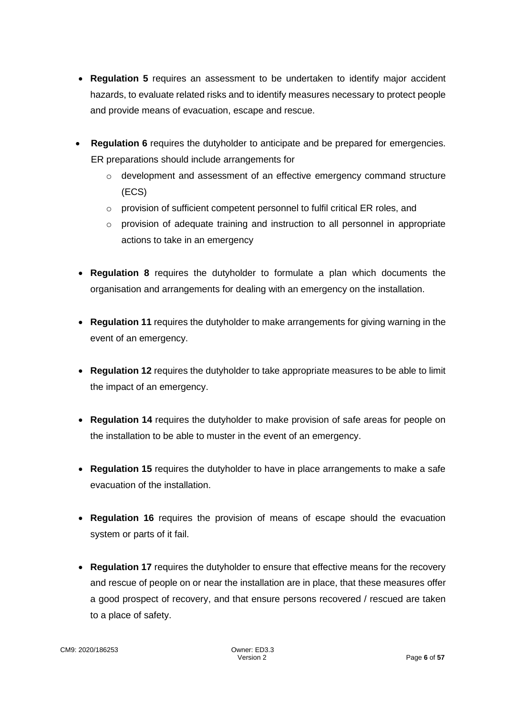- **Regulation 5** requires an assessment to be undertaken to identify major accident hazards, to evaluate related risks and to identify measures necessary to protect people and provide means of evacuation, escape and rescue.
- **Regulation 6** requires the dutyholder to anticipate and be prepared for emergencies. ER preparations should include arrangements for
	- $\circ$  development and assessment of an effective emergency command structure (ECS)
	- o provision of sufficient competent personnel to fulfil critical ER roles, and
	- $\circ$  provision of adequate training and instruction to all personnel in appropriate actions to take in an emergency
- **Regulation 8** requires the dutyholder to formulate a plan which documents the organisation and arrangements for dealing with an emergency on the installation.
- **Regulation 11** requires the dutyholder to make arrangements for giving warning in the event of an emergency.
- **Regulation 12** requires the dutyholder to take appropriate measures to be able to limit the impact of an emergency.
- **Regulation 14** requires the dutyholder to make provision of safe areas for people on the installation to be able to muster in the event of an emergency.
- **Regulation 15** requires the dutyholder to have in place arrangements to make a safe evacuation of the installation.
- **Regulation 16** requires the provision of means of escape should the evacuation system or parts of it fail.
- **Regulation 17** requires the dutyholder to ensure that effective means for the recovery and rescue of people on or near the installation are in place, that these measures offer a good prospect of recovery, and that ensure persons recovered / rescued are taken to a place of safety.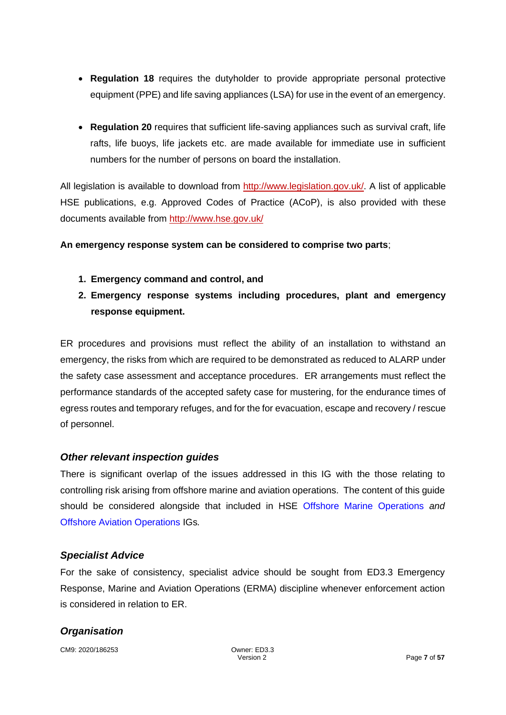- **Regulation 18** requires the dutyholder to provide appropriate personal protective equipment (PPE) and life saving appliances (LSA) for use in the event of an emergency.
- **Regulation 20** requires that sufficient life-saving appliances such as survival craft, life rafts, life buoys, life jackets etc. are made available for immediate use in sufficient numbers for the number of persons on board the installation.

All legislation is available to download from [http://www.legislation.gov.uk/.](http://www.legislation.gov.uk/) A list of applicable HSE publications, e.g. Approved Codes of Practice (ACoP), is also provided with these documents available from<http://www.hse.gov.uk/>

#### **An emergency response system can be considered to comprise two parts**;

- **1. Emergency command and control, and**
- **2. Emergency response systems including procedures, plant and emergency response equipment.**

ER procedures and provisions must reflect the ability of an installation to withstand an emergency, the risks from which are required to be demonstrated as reduced to ALARP under the safety case assessment and acceptance procedures. ER arrangements must reflect the performance standards of the accepted safety case for mustering, for the endurance times of egress routes and temporary refuges, and for the for evacuation, escape and recovery / rescue of personnel.

#### *Other relevant inspection guides*

There is significant overlap of the issues addressed in this IG with the those relating to controlling risk arising from offshore marine and aviation operations. The content of this guide should be considered alongside that included in HSE [Offshore Marine Operations](https://www.hse.gov.uk/offshore/ed-offshore-inspection-guide-marine-operations.pdf) *and* [Offshore Aviation Operations](https://www.hse.gov.uk/offshore/aviation-helideck-operations-inspection-guide.pdf) IGs*.*

#### *Specialist Advice*

For the sake of consistency, specialist advice should be sought from ED3.3 Emergency Response, Marine and Aviation Operations (ERMA) discipline whenever enforcement action is considered in relation to ER.

## *Organisation*

CM9: 2020/186253 Owner: ED3.3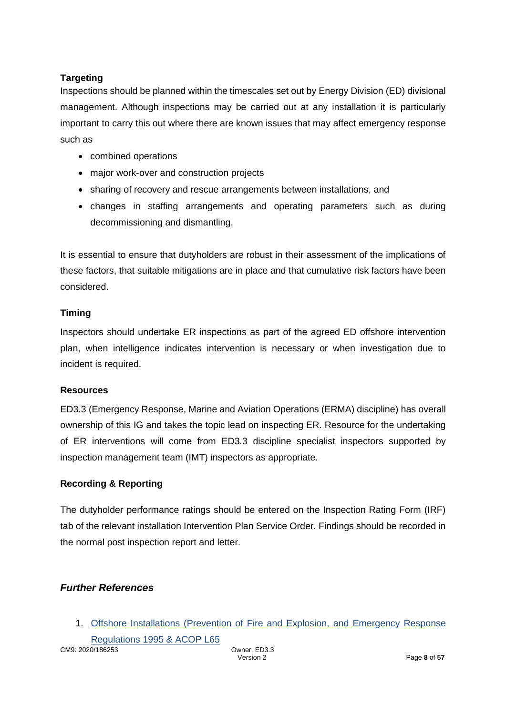## **Targeting**

Inspections should be planned within the timescales set out by Energy Division (ED) divisional management. Although inspections may be carried out at any installation it is particularly important to carry this out where there are known issues that may affect emergency response such as

- combined operations
- major work-over and construction projects
- sharing of recovery and rescue arrangements between installations, and
- changes in staffing arrangements and operating parameters such as during decommissioning and dismantling.

It is essential to ensure that dutyholders are robust in their assessment of the implications of these factors, that suitable mitigations are in place and that cumulative risk factors have been considered.

## **Timing**

Inspectors should undertake ER inspections as part of the agreed ED offshore intervention plan, when intelligence indicates intervention is necessary or when investigation due to incident is required.

## **Resources**

ED3.3 (Emergency Response, Marine and Aviation Operations (ERMA) discipline) has overall ownership of this IG and takes the topic lead on inspecting ER. Resource for the undertaking of ER interventions will come from ED3.3 discipline specialist inspectors supported by inspection management team (IMT) inspectors as appropriate.

## **Recording & Reporting**

The dutyholder performance ratings should be entered on the Inspection Rating Form (IRF) tab of the relevant installation Intervention Plan Service Order. Findings should be recorded in the normal post inspection report and letter.

## *Further References*

1. [Offshore Installations \(Prevention of Fire and Explosion, and Emergency Response](http://www.hse.gov.uk/pUbns/priced/l65.pdf)

CM9: 2020/186253 Owner: ED3.3 [Regulations 1995 & ACOP L65](http://www.hse.gov.uk/pUbns/priced/l65.pdf)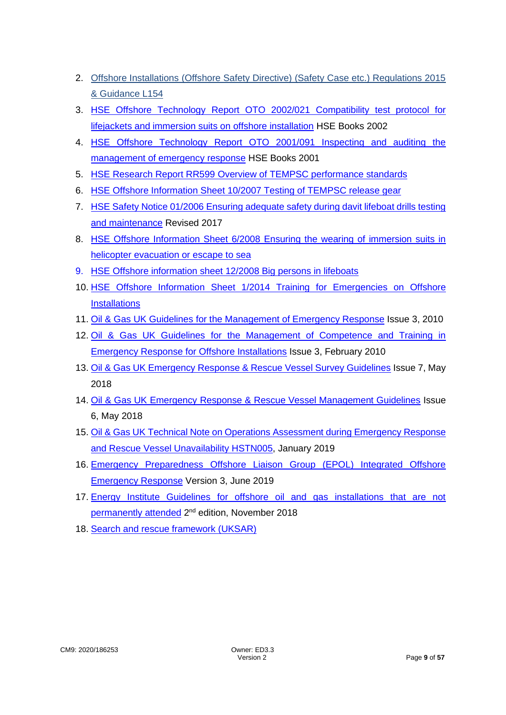- 2. [Offshore Installations \(Offshore Safety Directive\) \(Safety Case etc.\) Regulations 2015](http://www.hse.gov.uk/pubns/books/l154.htm) [& Guidance](http://www.hse.gov.uk/pubns/books/l154.htm) L154
- 3. HSE Offshore Technology Report OTO 2002/021 [Compatibility test protocol for](http://www.hse.gov.uk/research/otohtm/2002/oto02021.htm)  [lifejackets and immersion suits on offshore installation](http://www.hse.gov.uk/research/otohtm/2002/oto02021.htm) HSE Books 2002
- 4. [HSE Offshore Technology Report OTO 2001/091 Inspecting](https://www.hse.gov.uk/research/otohtm/2001/oto01091.htm) and auditing the [management of emergency response](https://www.hse.gov.uk/research/otohtm/2001/oto01091.htm) HSE Books 2001
- 5. [HSE Research Report RR599 Overview of TEMPSC performance standards](https://www.hse.gov.uk/research/rrpdf/rr599.pdf)
- 6. [HSE Offshore Information Sheet 10/2007 Testing of TEMPSC release gear](http://www.hse.gov.uk/offshore/infosheets/is10-2007.pdf)
- 7. [HSE Safety Notice 01/2006 Ensuring adequate safety during davit lifeboat drills testing](http://www.hse.gov.uk/offshore/notices/sn_01_06.htm)  [and maintenance](http://www.hse.gov.uk/offshore/notices/sn_01_06.htm) Revised 2017
- 8. [HSE Offshore Information Sheet 6/2008 Ensuring the wearing of immersion suits in](http://www.hse.gov.uk/offshore/infosheets/is6-2008.pdf)  [helicopter evacuation or escape to sea](http://www.hse.gov.uk/offshore/infosheets/is6-2008.pdf)
- 9. [HSE Offshore information sheet 12/2008 Big persons in lifeboats](http://www.hse.gov.uk/offshore/infosheets/is12-2008.pdf)
- 10. [HSE Offshore Information Sheet 1/2014 Training for Emergencies on Offshore](http://www.hse.gov.uk/offshore/infosheets/is1-2014.pdf)  **[Installations](http://www.hse.gov.uk/offshore/infosheets/is1-2014.pdf)**
- 11. [Oil & Gas UK Guidelines for the Management of Emergency Response](https://oilandgasuk.co.uk/product/guidelines-for-the-management-of-emergency-response-for-offshore-installations/) Issue 3, 2010
- 12. Oil & Gas UK Guidelines for the [Management of Competence and Training in](https://oilandgasuk.co.uk/product/guidelines-for-the-management-of-competence-and-training-in-emergency-response-for-offshore-installations/)  [Emergency Response for Offshore Installations](https://oilandgasuk.co.uk/product/guidelines-for-the-management-of-competence-and-training-in-emergency-response-for-offshore-installations/) Issue 3, February 2010
- 13. [Oil & Gas UK Emergency Response & Rescue Vessel Survey Guidelines](https://oilandgasuk.co.uk/product/emergency-response-rescue-vessel-survey-guidelines/) Issue 7, May 2018
- 14. Oil & Gas UK Emergency Response & [Rescue Vessel Management Guidelines](https://oilandgasuk.co.uk/product/emergency-response-rescue-vessel-management-guidelines/) Issue 6, May 2018
- 15. [Oil & Gas UK Technical Note on Operations Assessment during Emergency Response](https://oilandgasuk.co.uk/product/technical-note-operations-assessment-during-errv-unavailability/)  [and Rescue Vessel Unavailability HSTN005,](https://oilandgasuk.co.uk/product/technical-note-operations-assessment-during-errv-unavailability/) January 2019
- 16. [Emergency Preparedness Offshore Liaison Group \(EPOL\) Integrated Offshore](https://www.epolgroup.co.uk/files/5315/6257/3431/IOER_v3_June_2019.pdf)  [Emergency Response](https://www.epolgroup.co.uk/files/5315/6257/3431/IOER_v3_June_2019.pdf) Version 3, June 2019
- 17. [Energy Institute Guidelines for offshore oil and gas installations that are not](https://publishing.energyinst.org/topics/offshore-safety/guidelines-for-offshore-oil-and-gas-installations-that-are-not-permanently-attended)  [permanently attended](https://publishing.energyinst.org/topics/offshore-safety/guidelines-for-offshore-oil-and-gas-installations-that-are-not-permanently-attended) 2<sup>nd</sup> edition, November 2018
- 18. [Search and rescue framework \(UKSAR\)](https://www.gov.uk/government/publications/search-and-rescue-framework-uksar)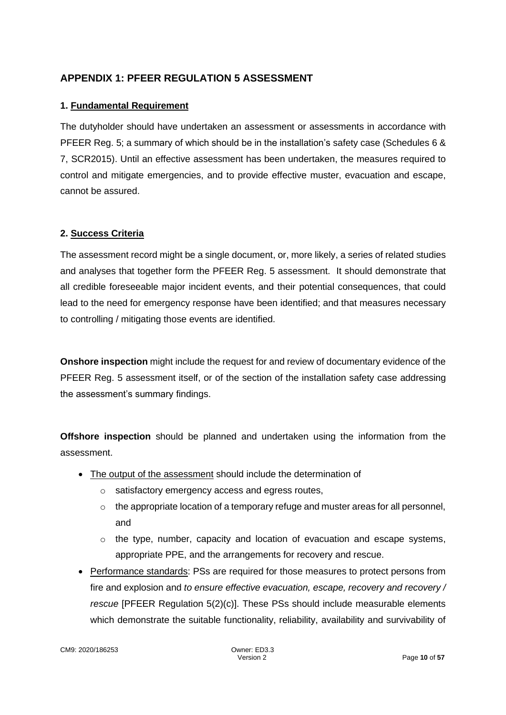## **APPENDIX 1: PFEER REGULATION 5 ASSESSMENT**

## **1. Fundamental Requirement**

The dutyholder should have undertaken an assessment or assessments in accordance with PFEER Reg. 5; a summary of which should be in the installation's safety case (Schedules 6 & 7, SCR2015). Until an effective assessment has been undertaken, the measures required to control and mitigate emergencies, and to provide effective muster, evacuation and escape, cannot be assured.

#### **2. Success Criteria**

The assessment record might be a single document, or, more likely, a series of related studies and analyses that together form the PFEER Reg. 5 assessment. It should demonstrate that all credible foreseeable major incident events, and their potential consequences, that could lead to the need for emergency response have been identified; and that measures necessary to controlling / mitigating those events are identified.

**Onshore inspection** might include the request for and review of documentary evidence of the PFEER Reg. 5 assessment itself, or of the section of the installation safety case addressing the assessment's summary findings.

**Offshore inspection** should be planned and undertaken using the information from the assessment.

- The output of the assessment should include the determination of
	- o satisfactory emergency access and egress routes,
	- $\circ$  the appropriate location of a temporary refuge and muster areas for all personnel, and
	- $\circ$  the type, number, capacity and location of evacuation and escape systems, appropriate PPE, and the arrangements for recovery and rescue.
- Performance standards: PSs are required for those measures to protect persons from fire and explosion and *to ensure effective evacuation, escape, recovery and recovery / rescue* [PFEER Regulation 5(2)(c)]. These PSs should include measurable elements which demonstrate the suitable functionality, reliability, availability and survivability of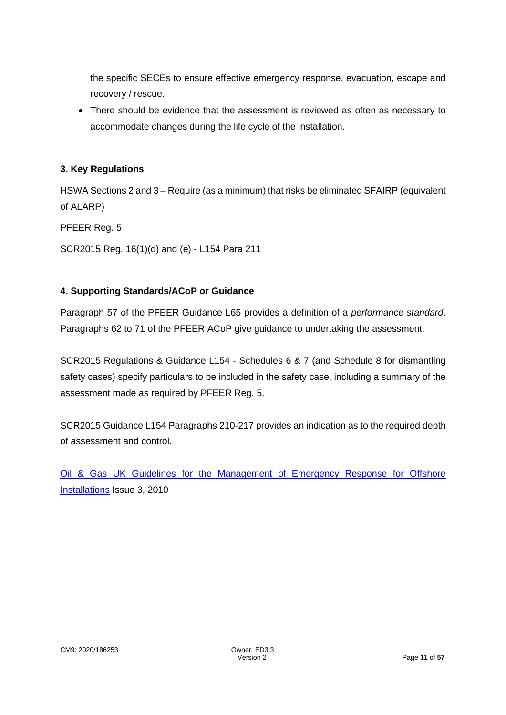the specific SECEs to ensure effective emergency response, evacuation, escape and recovery / rescue.

• There should be evidence that the assessment is reviewed as often as necessary to accommodate changes during the life cycle of the installation.

## **3. Key Regulations**

HSWA Sections 2 and 3 – Require (as a minimum) that risks be eliminated SFAIRP (equivalent of ALARP)

PFEER Reg. 5

SCR2015 Reg. 16(1)(d) and (e) - L154 Para 211

#### **4. Supporting Standards/ACoP or Guidance**

Paragraph 57 of the PFEER Guidance L65 provides a definition of a *performance standard*. Paragraphs 62 to 71 of the PFEER ACoP give guidance to undertaking the assessment.

SCR2015 Regulations & Guidance L154 - Schedules 6 & 7 (and Schedule 8 for dismantling safety cases) specify particulars to be included in the safety case, including a summary of the assessment made as required by PFEER Reg. 5.

SCR2015 Guidance L154 Paragraphs 210-217 provides an indication as to the required depth of assessment and control.

[Oil & Gas UK Guidelines for the Management of Emergency Response for Offshore](guidelines-for-the-management-of-emergency-response-for-offshore-installations)  [Installations](guidelines-for-the-management-of-emergency-response-for-offshore-installations) Issue 3, 2010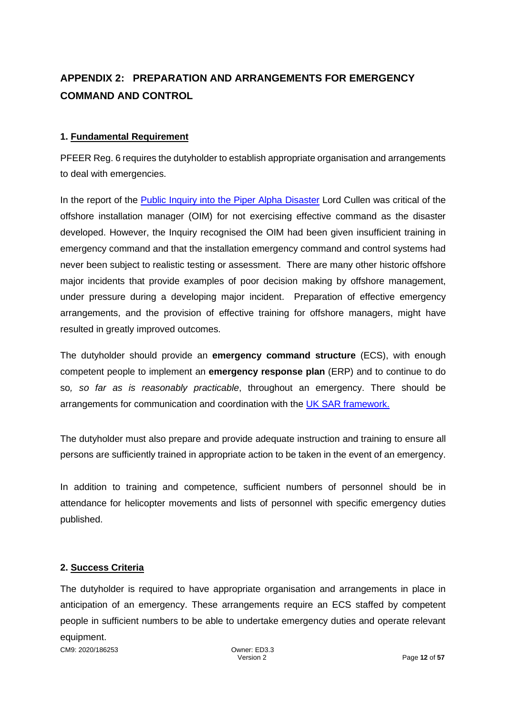# **APPENDIX 2: PREPARATION AND ARRANGEMENTS FOR EMERGENCY COMMAND AND CONTROL**

#### **1. Fundamental Requirement**

PFEER Reg. 6 requires the dutyholder to establish appropriate organisation and arrangements to deal with emergencies.

In the report of the [Public Inquiry into the Piper Alpha Disaster](https://www.hse.gov.uk/offshore/piper-alpha-disaster-public-inquiry.htm) Lord Cullen was critical of the offshore installation manager (OIM) for not exercising effective command as the disaster developed. However, the Inquiry recognised the OIM had been given insufficient training in emergency command and that the installation emergency command and control systems had never been subject to realistic testing or assessment. There are many other historic offshore major incidents that provide examples of poor decision making by offshore management, under pressure during a developing major incident. Preparation of effective emergency arrangements, and the provision of effective training for offshore managers, might have resulted in greatly improved outcomes.

The dutyholder should provide an **emergency command structure** (ECS), with enough competent people to implement an **emergency response plan** (ERP) and to continue to do so*, so far as is reasonably practicable*, throughout an emergency. There should be arrangements for communication and coordination with the [UK SAR framework.](https://assets.publishing.service.gov.uk/government/uploads/system/uploads/attachment_data/file/593127/mca_uksar.pdf)

The dutyholder must also prepare and provide adequate instruction and training to ensure all persons are sufficiently trained in appropriate action to be taken in the event of an emergency.

In addition to training and competence, sufficient numbers of personnel should be in attendance for helicopter movements and lists of personnel with specific emergency duties published.

#### **2. Success Criteria**

CM9: 2020/186253 Owner: ED3.3 The dutyholder is required to have appropriate organisation and arrangements in place in anticipation of an emergency. These arrangements require an ECS staffed by competent people in sufficient numbers to be able to undertake emergency duties and operate relevant equipment.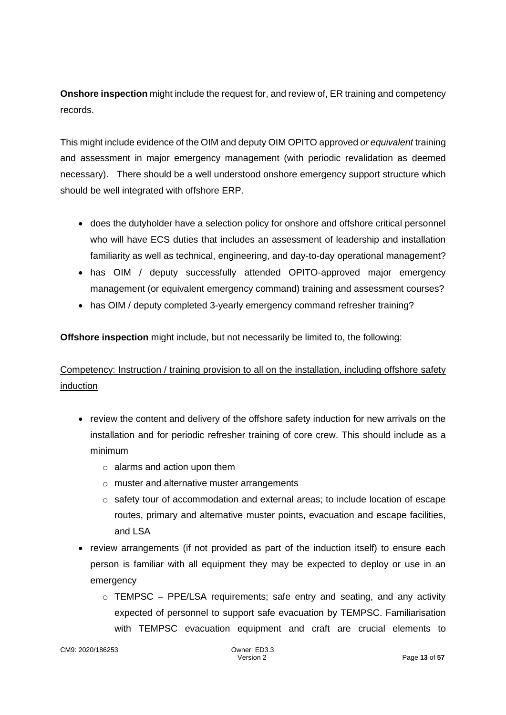**Onshore inspection** might include the request for, and review of, ER training and competency records.

This might include evidence of the OIM and deputy OIM OPITO approved *or equivalent* training and assessment in major emergency management (with periodic revalidation as deemed necessary). There should be a well understood onshore emergency support structure which should be well integrated with offshore ERP.

- does the dutyholder have a selection policy for onshore and offshore critical personnel who will have ECS duties that includes an assessment of leadership and installation familiarity as well as technical, engineering, and day-to-day operational management?
- has OIM / deputy successfully attended OPITO-approved major emergency management (or equivalent emergency command) training and assessment courses?
- has OIM / deputy completed 3-yearly emergency command refresher training?

**Offshore inspection** might include, but not necessarily be limited to, the following:

# Competency: Instruction / training provision to all on the installation, including offshore safety induction

- review the content and delivery of the offshore safety induction for new arrivals on the installation and for periodic refresher training of core crew. This should include as a minimum
	- $\circ$  alarms and action upon them
	- o muster and alternative muster arrangements
	- $\circ$  safety tour of accommodation and external areas; to include location of escape routes, primary and alternative muster points, evacuation and escape facilities, and LSA
- review arrangements (if not provided as part of the induction itself) to ensure each person is familiar with all equipment they may be expected to deploy or use in an emergency
	- o TEMPSC PPE/LSA requirements; safe entry and seating, and any activity expected of personnel to support safe evacuation by TEMPSC. Familiarisation with TEMPSC evacuation equipment and craft are crucial elements to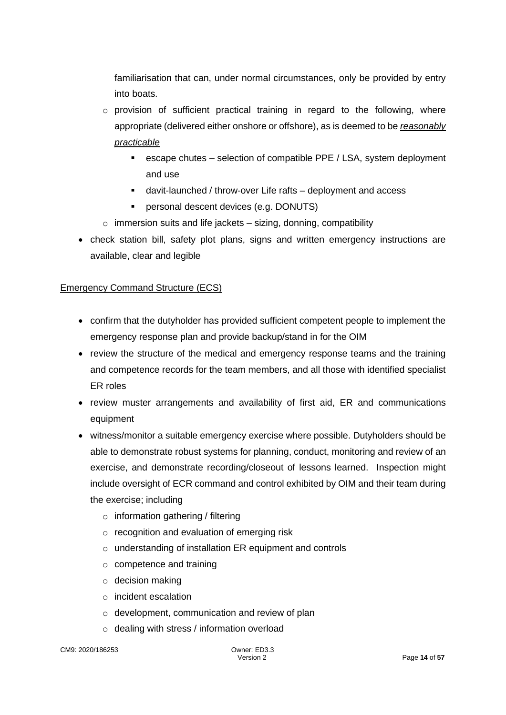familiarisation that can, under normal circumstances, only be provided by entry into boats.

- $\circ$  provision of sufficient practical training in regard to the following, where appropriate (delivered either onshore or offshore), as is deemed to be *reasonably practicable*
	- escape chutes selection of compatible PPE / LSA, system deployment and use
	- davit-launched / throw-over Life rafts deployment and access
	- personal descent devices (e.g. DONUTS)
- $\circ$  immersion suits and life jackets sizing, donning, compatibility
- check station bill, safety plot plans, signs and written emergency instructions are available, clear and legible

#### Emergency Command Structure (ECS)

- confirm that the dutyholder has provided sufficient competent people to implement the emergency response plan and provide backup/stand in for the OIM
- review the structure of the medical and emergency response teams and the training and competence records for the team members, and all those with identified specialist ER roles
- review muster arrangements and availability of first aid, ER and communications equipment
- witness/monitor a suitable emergency exercise where possible. Dutyholders should be able to demonstrate robust systems for planning, conduct, monitoring and review of an exercise, and demonstrate recording/closeout of lessons learned. Inspection might include oversight of ECR command and control exhibited by OIM and their team during the exercise; including
	- $\circ$  information gathering / filtering
	- o recognition and evaluation of emerging risk
	- o understanding of installation ER equipment and controls
	- o competence and training
	- $\circ$  decision making
	- o incident escalation
	- o development, communication and review of plan
	- o dealing with stress / information overload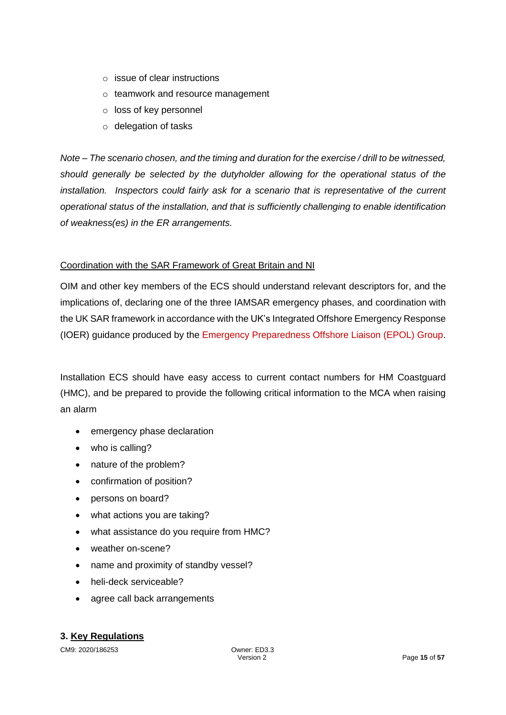- $\circ$  issue of clear instructions
- o teamwork and resource management
- o loss of key personnel
- o delegation of tasks

*Note – The scenario chosen, and the timing and duration for the exercise / drill to be witnessed, should generally be selected by the dutyholder allowing for the operational status of the installation. Inspectors could fairly ask for a scenario that is representative of the current operational status of the installation, and that is sufficiently challenging to enable identification of weakness(es) in the ER arrangements.*

#### Coordination with the SAR Framework of Great Britain and NI

OIM and other key members of the ECS should understand relevant descriptors for, and the implications of, declaring one of the three IAMSAR emergency phases, and coordination with the UK SAR framework in accordance with the UK's Integrated Offshore Emergency Response (IOER) guidance produced by the [Emergency Preparedness Offshore Liaison \(EPOL\) Group.](https://www.epolgroup.co.uk/)

Installation ECS should have easy access to current contact numbers for HM Coastguard (HMC), and be prepared to provide the following critical information to the MCA when raising an alarm

- emergency phase declaration
- who is calling?
- nature of the problem?
- confirmation of position?
- persons on board?
- what actions you are taking?
- what assistance do you require from HMC?
- weather on-scene?
- name and proximity of standby vessel?
- heli-deck serviceable?
- agree call back arrangements

#### **3. Key Regulations**

CM9: 2020/186253 Owner: ED3.3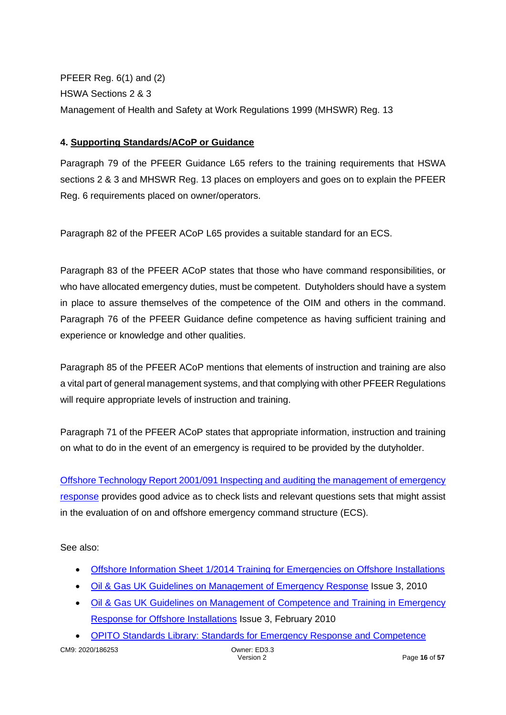PFEER Reg. 6(1) and (2) HSWA Sections 2 & 3 Management of Health and Safety at Work Regulations 1999 (MHSWR) Reg. 13

#### **4. Supporting Standards/ACoP or Guidance**

Paragraph 79 of the PFEER Guidance L65 refers to the training requirements that HSWA sections 2 & 3 and MHSWR Reg. 13 places on employers and goes on to explain the PFEER Reg. 6 requirements placed on owner/operators.

Paragraph 82 of the PFEER ACoP L65 provides a suitable standard for an ECS.

Paragraph 83 of the PFEER ACoP states that those who have command responsibilities, or who have allocated emergency duties, must be competent. Dutyholders should have a system in place to assure themselves of the competence of the OIM and others in the command. Paragraph 76 of the PFEER Guidance define competence as having sufficient training and experience or knowledge and other qualities.

Paragraph 85 of the PFEER ACoP mentions that elements of instruction and training are also a vital part of general management systems, and that complying with other PFEER Regulations will require appropriate levels of instruction and training.

Paragraph 71 of the PFEER ACoP states that appropriate information, instruction and training on what to do in the event of an emergency is required to be provided by the dutyholder.

[Offshore Technology Report 2001/091 Inspecting and auditing the management of emergency](https://www.hse.gov.uk/research/otopdf/2001/oto01091.pdf)  [response](https://www.hse.gov.uk/research/otopdf/2001/oto01091.pdf) provides good advice as to check lists and relevant questions sets that might assist in the evaluation of on and offshore emergency command structure (ECS).

See also:

- [Offshore Information Sheet 1/2014 Training for Emergencies on Offshore Installations](https://www.hse.gov.uk/offshore/infosheets/is1-2014.pdf)
- [Oil & Gas UK Guidelines on Management of Emergency Response](https://oilandgasuk.co.uk/product/guidelines-for-the-management-of-emergency-response-for-offshore-installations/) Issue 3, 2010
- [Oil & Gas UK Guidelines on Management of Competence and Training in Emergency](https://oilandgasuk.co.uk/product/guidelines-for-the-management-of-competence-and-training-in-emergency-response-for-offshore-installations/)  [Response for Offshore Installations](https://oilandgasuk.co.uk/product/guidelines-for-the-management-of-competence-and-training-in-emergency-response-for-offshore-installations/) Issue 3, February 2010
- [OPITO Standards Library: Standards for](https://www.opito.com/standards/offshore-emergency-response-team-leader-training-and-competence-assessment) Emergency Response and Competence

CM9: 2020/186253 Owner: ED3.3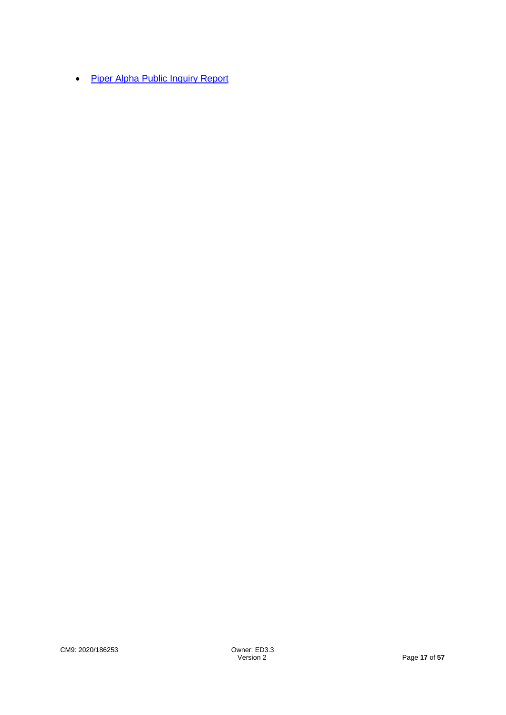• [Piper Alpha Public Inquiry Report](https://www.hse.gov.uk/offshore/piper-alpha-disaster-public-inquiry.htm)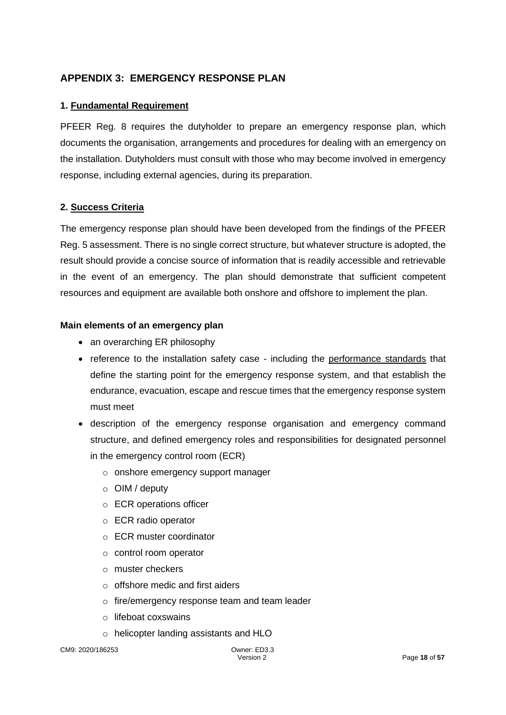## **APPENDIX 3: EMERGENCY RESPONSE PLAN**

#### **1. Fundamental Requirement**

PFEER Reg. 8 requires the dutyholder to prepare an emergency response plan, which documents the organisation, arrangements and procedures for dealing with an emergency on the installation. Dutyholders must consult with those who may become involved in emergency response, including external agencies, during its preparation.

#### **2. Success Criteria**

The emergency response plan should have been developed from the findings of the PFEER Reg. 5 assessment. There is no single correct structure, but whatever structure is adopted, the result should provide a concise source of information that is readily accessible and retrievable in the event of an emergency. The plan should demonstrate that sufficient competent resources and equipment are available both onshore and offshore to implement the plan.

#### **Main elements of an emergency plan**

- an overarching ER philosophy
- reference to the installation safety case including the performance standards that define the starting point for the emergency response system, and that establish the endurance, evacuation, escape and rescue times that the emergency response system must meet
- description of the emergency response organisation and emergency command structure, and defined emergency roles and responsibilities for designated personnel in the emergency control room (ECR)
	- o onshore emergency support manager
	- o OIM / deputy
	- o ECR operations officer
	- o ECR radio operator
	- o ECR muster coordinator
	- o control room operator
	- o muster checkers
	- o offshore medic and first aiders
	- o fire/emergency response team and team leader
	- o lifeboat coxswains
	- o helicopter landing assistants and HLO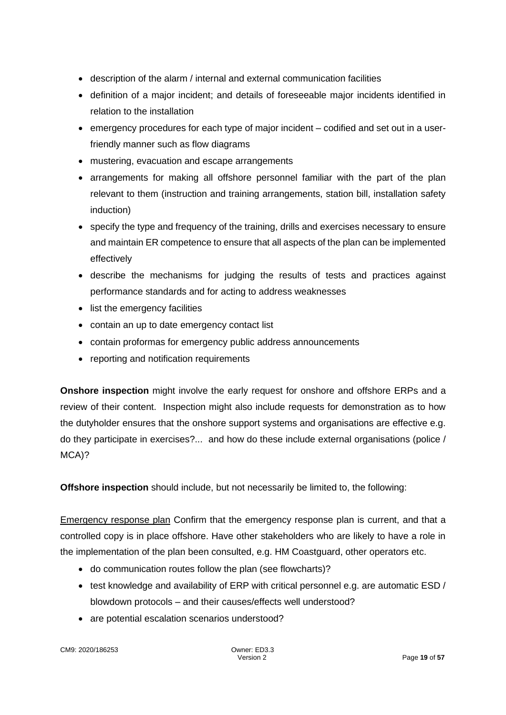- description of the alarm / internal and external communication facilities
- definition of a major incident; and details of foreseeable major incidents identified in relation to the installation
- emergency procedures for each type of major incident codified and set out in a userfriendly manner such as flow diagrams
- mustering, evacuation and escape arrangements
- arrangements for making all offshore personnel familiar with the part of the plan relevant to them (instruction and training arrangements, station bill, installation safety induction)
- specify the type and frequency of the training, drills and exercises necessary to ensure and maintain ER competence to ensure that all aspects of the plan can be implemented effectively
- describe the mechanisms for judging the results of tests and practices against performance standards and for acting to address weaknesses
- list the emergency facilities
- contain an up to date emergency contact list
- contain proformas for emergency public address announcements
- reporting and notification requirements

**Onshore inspection** might involve the early request for onshore and offshore ERPs and a review of their content. Inspection might also include requests for demonstration as to how the dutyholder ensures that the onshore support systems and organisations are effective e.g. do they participate in exercises?... and how do these include external organisations (police / MCA)?

**Offshore inspection** should include, but not necessarily be limited to, the following:

Emergency response plan Confirm that the emergency response plan is current, and that a controlled copy is in place offshore. Have other stakeholders who are likely to have a role in the implementation of the plan been consulted, e.g. HM Coastguard, other operators etc.

- do communication routes follow the plan (see flowcharts)?
- test knowledge and availability of ERP with critical personnel e.g. are automatic ESD / blowdown protocols – and their causes/effects well understood?
- are potential escalation scenarios understood?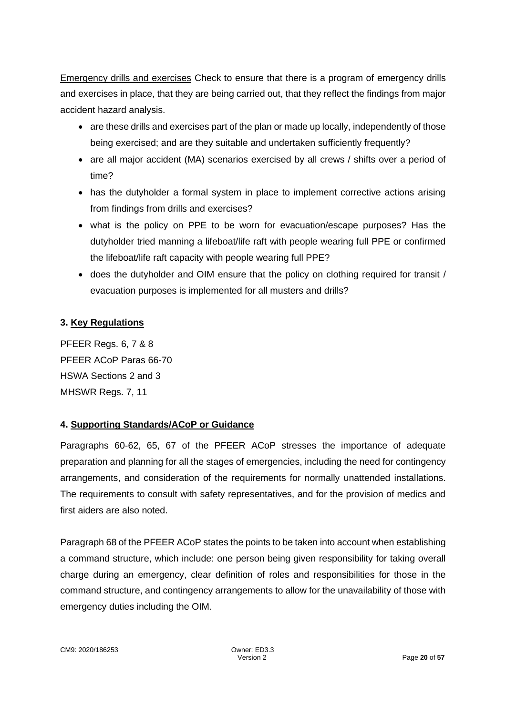Emergency drills and exercises Check to ensure that there is a program of emergency drills and exercises in place, that they are being carried out, that they reflect the findings from major accident hazard analysis.

- are these drills and exercises part of the plan or made up locally, independently of those being exercised; and are they suitable and undertaken sufficiently frequently?
- are all major accident (MA) scenarios exercised by all crews / shifts over a period of time?
- has the dutyholder a formal system in place to implement corrective actions arising from findings from drills and exercises?
- what is the policy on PPE to be worn for evacuation/escape purposes? Has the dutyholder tried manning a lifeboat/life raft with people wearing full PPE or confirmed the lifeboat/life raft capacity with people wearing full PPE?
- does the dutyholder and OIM ensure that the policy on clothing required for transit / evacuation purposes is implemented for all musters and drills?

## **3. Key Regulations**

PFEER Regs. 6, 7 & 8 PFEER ACoP Paras 66-70 HSWA Sections 2 and 3 MHSWR Regs. 7, 11

#### **4. Supporting Standards/ACoP or Guidance**

Paragraphs 60-62, 65, 67 of the PFEER ACoP stresses the importance of adequate preparation and planning for all the stages of emergencies, including the need for contingency arrangements, and consideration of the requirements for normally unattended installations. The requirements to consult with safety representatives, and for the provision of medics and first aiders are also noted.

Paragraph 68 of the PFEER ACoP states the points to be taken into account when establishing a command structure, which include: one person being given responsibility for taking overall charge during an emergency, clear definition of roles and responsibilities for those in the command structure, and contingency arrangements to allow for the unavailability of those with emergency duties including the OIM.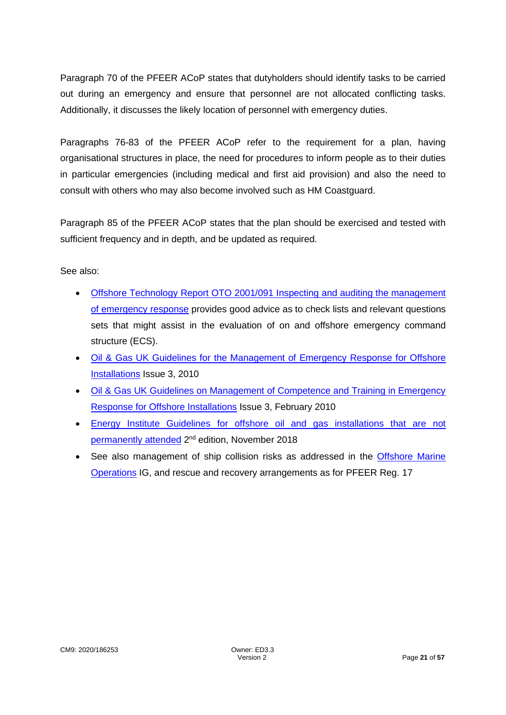Paragraph 70 of the PFEER ACoP states that dutyholders should identify tasks to be carried out during an emergency and ensure that personnel are not allocated conflicting tasks. Additionally, it discusses the likely location of personnel with emergency duties.

Paragraphs 76-83 of the PFEER ACoP refer to the requirement for a plan, having organisational structures in place, the need for procedures to inform people as to their duties in particular emergencies (including medical and first aid provision) and also the need to consult with others who may also become involved such as HM Coastguard.

Paragraph 85 of the PFEER ACoP states that the plan should be exercised and tested with sufficient frequency and in depth, and be updated as required.

See also:

- [Offshore Technology Report OTO 2001/091 Inspecting and auditing the management](https://www.hse.gov.uk/research/otohtm/2001/oto01091.htm)  [of emergency response](https://www.hse.gov.uk/research/otohtm/2001/oto01091.htm) provides good advice as to check lists and relevant questions sets that might assist in the evaluation of on and offshore emergency command structure (ECS).
- [Oil & Gas UK Guidelines for the Management of Emergency Response](https://oilandgasuk.co.uk/product/guidelines-for-the-management-of-emergency-response-for-offshore-installations/) for Offshore [Installations](https://oilandgasuk.co.uk/product/guidelines-for-the-management-of-emergency-response-for-offshore-installations/) Issue 3, 2010
- [Oil & Gas UK Guidelines on Management of Competence and Training in Emergency](https://oilandgasuk.co.uk/product/guidelines-for-the-management-of-competence-and-training-in-emergency-response-for-offshore-installations/)  [Response for Offshore Installations](https://oilandgasuk.co.uk/product/guidelines-for-the-management-of-competence-and-training-in-emergency-response-for-offshore-installations/) Issue 3, February 2010
- [Energy Institute Guidelines for offshore oil and gas installations that are not](https://publishing.energyinst.org/topics/offshore-safety/guidelines-for-offshore-oil-and-gas-installations-that-are-not-permanently-attended)  [permanently attended](https://publishing.energyinst.org/topics/offshore-safety/guidelines-for-offshore-oil-and-gas-installations-that-are-not-permanently-attended) 2<sup>nd</sup> edition, November 2018
- See also management of ship collision risks as addressed in the [Offshore Marine](https://www.hse.gov.uk/offshore/ed-offshore-inspection-guide-marine-operations.pdf) [Operations](https://www.hse.gov.uk/offshore/ed-offshore-inspection-guide-marine-operations.pdf) IG, and rescue and recovery arrangements as for PFEER Reg. 17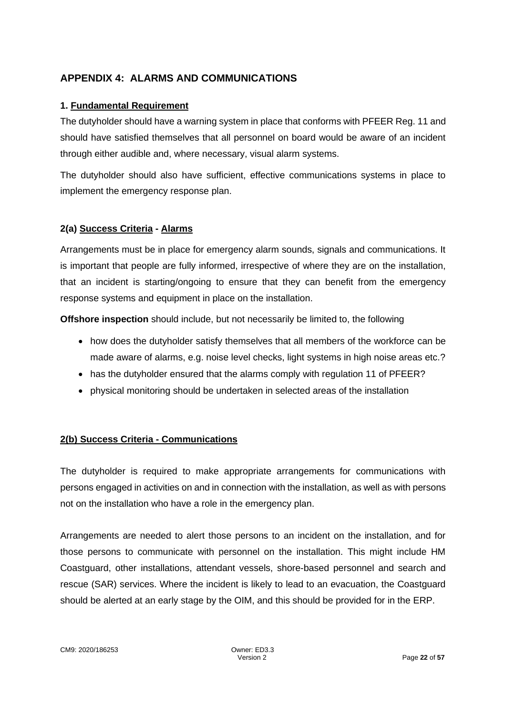## **APPENDIX 4: ALARMS AND COMMUNICATIONS**

#### **1. Fundamental Requirement**

The dutyholder should have a warning system in place that conforms with PFEER Reg. 11 and should have satisfied themselves that all personnel on board would be aware of an incident through either audible and, where necessary, visual alarm systems.

The dutyholder should also have sufficient, effective communications systems in place to implement the emergency response plan.

#### **2(a) Success Criteria - Alarms**

Arrangements must be in place for emergency alarm sounds, signals and communications. It is important that people are fully informed, irrespective of where they are on the installation, that an incident is starting/ongoing to ensure that they can benefit from the emergency response systems and equipment in place on the installation.

**Offshore inspection** should include, but not necessarily be limited to, the following

- how does the dutyholder satisfy themselves that all members of the workforce can be made aware of alarms, e.g. noise level checks, light systems in high noise areas etc.?
- has the dutyholder ensured that the alarms comply with regulation 11 of PFEER?
- physical monitoring should be undertaken in selected areas of the installation

#### **2(b) Success Criteria - Communications**

The dutyholder is required to make appropriate arrangements for communications with persons engaged in activities on and in connection with the installation, as well as with persons not on the installation who have a role in the emergency plan.

Arrangements are needed to alert those persons to an incident on the installation, and for those persons to communicate with personnel on the installation. This might include HM Coastguard, other installations, attendant vessels, shore-based personnel and search and rescue (SAR) services. Where the incident is likely to lead to an evacuation, the Coastguard should be alerted at an early stage by the OIM, and this should be provided for in the ERP.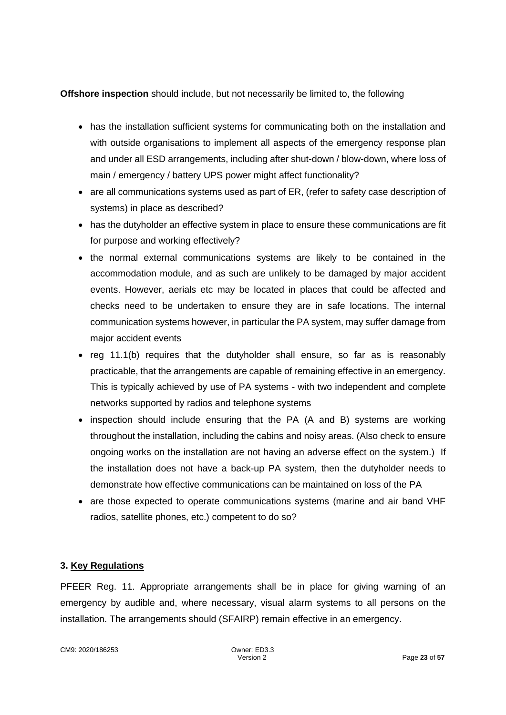#### **Offshore inspection** should include, but not necessarily be limited to, the following

- has the installation sufficient systems for communicating both on the installation and with outside organisations to implement all aspects of the emergency response plan and under all ESD arrangements, including after shut-down / blow-down, where loss of main / emergency / battery UPS power might affect functionality?
- are all communications systems used as part of ER, (refer to safety case description of systems) in place as described?
- has the dutyholder an effective system in place to ensure these communications are fit for purpose and working effectively?
- the normal external communications systems are likely to be contained in the accommodation module, and as such are unlikely to be damaged by major accident events. However, aerials etc may be located in places that could be affected and checks need to be undertaken to ensure they are in safe locations. The internal communication systems however, in particular the PA system, may suffer damage from major accident events
- reg 11.1(b) requires that the dutyholder shall ensure, so far as is reasonably practicable, that the arrangements are capable of remaining effective in an emergency. This is typically achieved by use of PA systems - with two independent and complete networks supported by radios and telephone systems
- inspection should include ensuring that the PA (A and B) systems are working throughout the installation, including the cabins and noisy areas. (Also check to ensure ongoing works on the installation are not having an adverse effect on the system.) If the installation does not have a back-up PA system, then the dutyholder needs to demonstrate how effective communications can be maintained on loss of the PA
- are those expected to operate communications systems (marine and air band VHF radios, satellite phones, etc.) competent to do so?

#### **3. Key Regulations**

PFEER Reg. 11. Appropriate arrangements shall be in place for giving warning of an emergency by audible and, where necessary, visual alarm systems to all persons on the installation. The arrangements should (SFAIRP) remain effective in an emergency.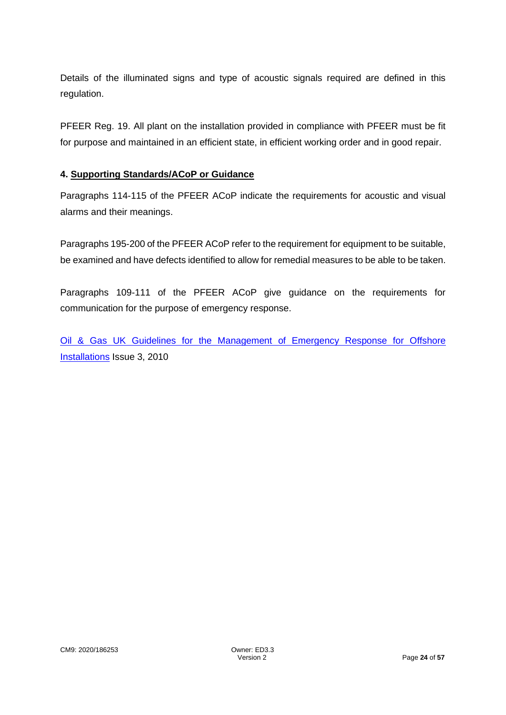Details of the illuminated signs and type of acoustic signals required are defined in this regulation.

PFEER Reg. 19. All plant on the installation provided in compliance with PFEER must be fit for purpose and maintained in an efficient state, in efficient working order and in good repair.

#### **4. Supporting Standards/ACoP or Guidance**

Paragraphs 114-115 of the PFEER ACoP indicate the requirements for acoustic and visual alarms and their meanings.

Paragraphs 195-200 of the PFEER ACoP refer to the requirement for equipment to be suitable, be examined and have defects identified to allow for remedial measures to be able to be taken.

Paragraphs 109-111 of the PFEER ACoP give guidance on the requirements for communication for the purpose of emergency response.

[Oil & Gas UK Guidelines for the Management of Emergency Response for Offshore](https://oilandgasuk.co.uk/product/guidelines-for-the-management-of-emergency-response-for-offshore-installations/)  [Installations](https://oilandgasuk.co.uk/product/guidelines-for-the-management-of-emergency-response-for-offshore-installations/) Issue 3, 2010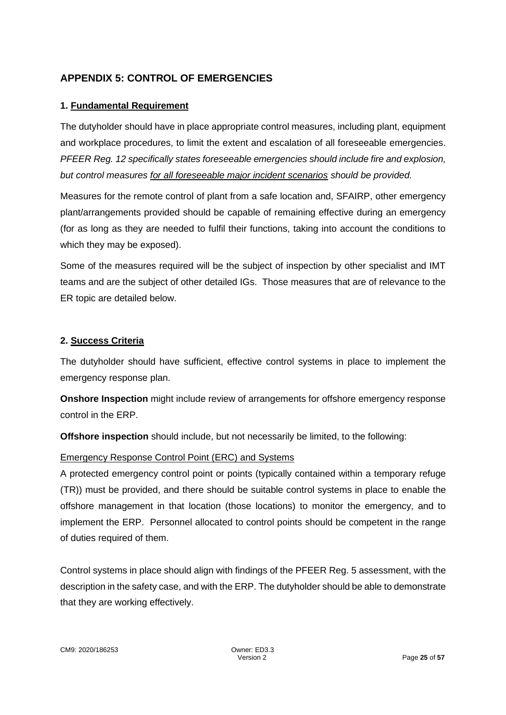## **APPENDIX 5: CONTROL OF EMERGENCIES**

#### **1. Fundamental Requirement**

The dutyholder should have in place appropriate control measures, including plant, equipment and workplace procedures, to limit the extent and escalation of all foreseeable emergencies. *PFEER Reg. 12 specifically states foreseeable emergencies should include fire and explosion, but control measures for all foreseeable major incident scenarios should be provided.*

Measures for the remote control of plant from a safe location and, SFAIRP, other emergency plant/arrangements provided should be capable of remaining effective during an emergency (for as long as they are needed to fulfil their functions, taking into account the conditions to which they may be exposed).

Some of the measures required will be the subject of inspection by other specialist and IMT teams and are the subject of other detailed IGs. Those measures that are of relevance to the ER topic are detailed below.

#### **2. Success Criteria**

The dutyholder should have sufficient, effective control systems in place to implement the emergency response plan.

**Onshore Inspection** might include review of arrangements for offshore emergency response control in the ERP.

**Offshore inspection** should include, but not necessarily be limited, to the following:

#### Emergency Response Control Point (ERC) and Systems

A protected emergency control point or points (typically contained within a temporary refuge (TR)) must be provided, and there should be suitable control systems in place to enable the offshore management in that location (those locations) to monitor the emergency, and to implement the ERP. Personnel allocated to control points should be competent in the range of duties required of them.

Control systems in place should align with findings of the PFEER Reg. 5 assessment, with the description in the safety case, and with the ERP. The dutyholder should be able to demonstrate that they are working effectively.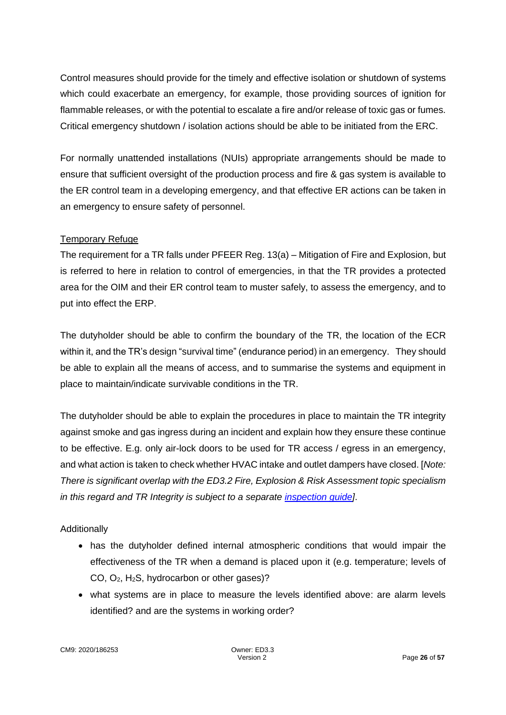Control measures should provide for the timely and effective isolation or shutdown of systems which could exacerbate an emergency, for example, those providing sources of ignition for flammable releases, or with the potential to escalate a fire and/or release of toxic gas or fumes. Critical emergency shutdown / isolation actions should be able to be initiated from the ERC.

For normally unattended installations (NUIs) appropriate arrangements should be made to ensure that sufficient oversight of the production process and fire & gas system is available to the ER control team in a developing emergency, and that effective ER actions can be taken in an emergency to ensure safety of personnel.

#### Temporary Refuge

The requirement for a TR falls under PFEER Reg. 13(a) – Mitigation of Fire and Explosion, but is referred to here in relation to control of emergencies, in that the TR provides a protected area for the OIM and their ER control team to muster safely, to assess the emergency, and to put into effect the ERP.

The dutyholder should be able to confirm the boundary of the TR, the location of the ECR within it, and the TR's design "survival time" (endurance period) in an emergency. They should be able to explain all the means of access, and to summarise the systems and equipment in place to maintain/indicate survivable conditions in the TR.

The dutyholder should be able to explain the procedures in place to maintain the TR integrity against smoke and gas ingress during an incident and explain how they ensure these continue to be effective. E.g. only air-lock doors to be used for TR access / egress in an emergency, and what action is taken to check whether HVAC intake and outlet dampers have closed. [*Note: There is significant overlap with the ED3.2 Fire, Explosion & Risk Assessment topic specialism in this regard and TR Integrity is subject to a separate [inspection guide\]](https://www.hse.gov.uk/offshore/ed-temporary-refuge-integrity.pdf)*.

## Additionally

- has the dutyholder defined internal atmospheric conditions that would impair the effectiveness of the TR when a demand is placed upon it (e.g. temperature; levels of CO, O2, H2S, hydrocarbon or other gases)?
- what systems are in place to measure the levels identified above: are alarm levels identified? and are the systems in working order?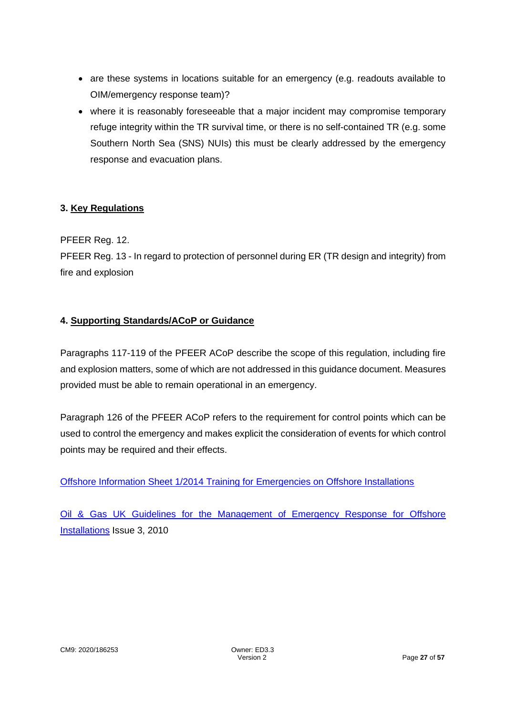- are these systems in locations suitable for an emergency (e.g. readouts available to OIM/emergency response team)?
- where it is reasonably foreseeable that a major incident may compromise temporary refuge integrity within the TR survival time, or there is no self-contained TR (e.g. some Southern North Sea (SNS) NUIs) this must be clearly addressed by the emergency response and evacuation plans.

#### **3. Key Regulations**

PFEER Reg. 12.

PFEER Reg. 13 - In regard to protection of personnel during ER (TR design and integrity) from fire and explosion

#### **4. Supporting Standards/ACoP or Guidance**

Paragraphs 117-119 of the PFEER ACoP describe the scope of this regulation, including fire and explosion matters, some of which are not addressed in this guidance document. Measures provided must be able to remain operational in an emergency.

Paragraph 126 of the PFEER ACoP refers to the requirement for control points which can be used to control the emergency and makes explicit the consideration of events for which control points may be required and their effects.

[Offshore Information Sheet 1/2014 Training for Emergencies on Offshore Installations](https://www.hse.gov.uk/offshore/infosheets/is1-2014.pdf)

[Oil & Gas UK Guidelines for the Management of Emergency Response for Offshore](https://oilandgasuk.co.uk/product/guidelines-for-the-management-of-emergency-response-for-offshore-installations/)  [Installations](https://oilandgasuk.co.uk/product/guidelines-for-the-management-of-emergency-response-for-offshore-installations/) Issue 3, 2010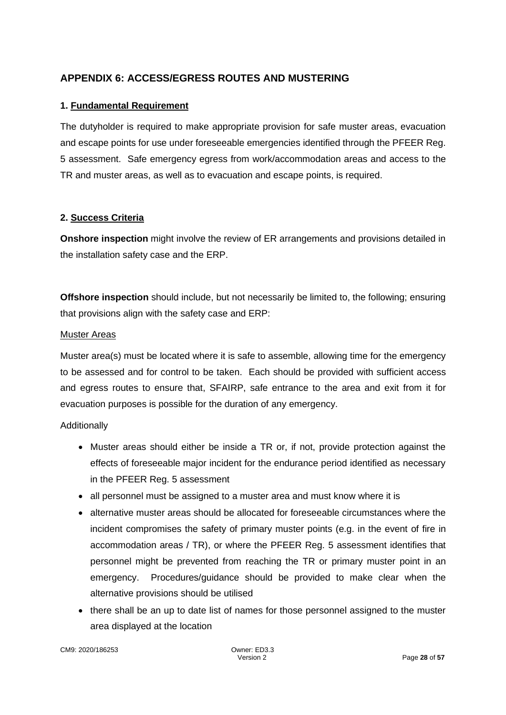## **APPENDIX 6: ACCESS/EGRESS ROUTES AND MUSTERING**

#### **1. Fundamental Requirement**

The dutyholder is required to make appropriate provision for safe muster areas, evacuation and escape points for use under foreseeable emergencies identified through the PFEER Reg. 5 assessment. Safe emergency egress from work/accommodation areas and access to the TR and muster areas, as well as to evacuation and escape points, is required.

#### **2. Success Criteria**

**Onshore inspection** might involve the review of ER arrangements and provisions detailed in the installation safety case and the ERP.

**Offshore inspection** should include, but not necessarily be limited to, the following; ensuring that provisions align with the safety case and ERP:

#### Muster Areas

Muster area(s) must be located where it is safe to assemble, allowing time for the emergency to be assessed and for control to be taken. Each should be provided with sufficient access and egress routes to ensure that, SFAIRP, safe entrance to the area and exit from it for evacuation purposes is possible for the duration of any emergency.

#### Additionally

- Muster areas should either be inside a TR or, if not, provide protection against the effects of foreseeable major incident for the endurance period identified as necessary in the PFEER Reg. 5 assessment
- all personnel must be assigned to a muster area and must know where it is
- alternative muster areas should be allocated for foreseeable circumstances where the incident compromises the safety of primary muster points (e.g. in the event of fire in accommodation areas / TR), or where the PFEER Reg. 5 assessment identifies that personnel might be prevented from reaching the TR or primary muster point in an emergency. Procedures/guidance should be provided to make clear when the alternative provisions should be utilised
- there shall be an up to date list of names for those personnel assigned to the muster area displayed at the location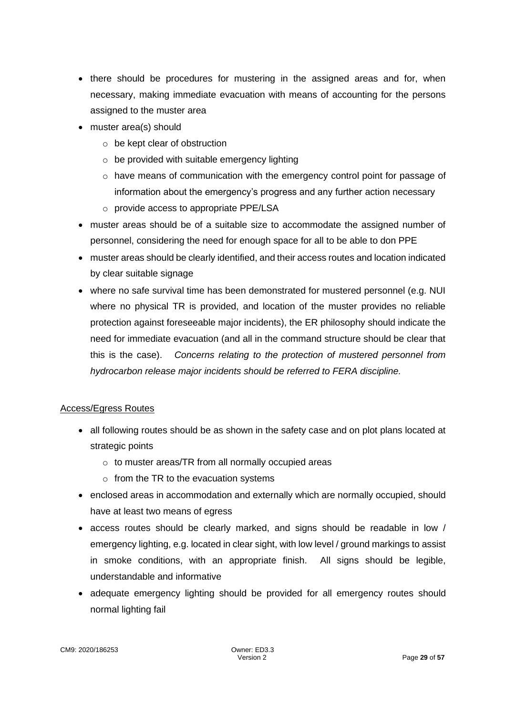- there should be procedures for mustering in the assigned areas and for, when necessary, making immediate evacuation with means of accounting for the persons assigned to the muster area
- muster area(s) should
	- o be kept clear of obstruction
	- $\circ$  be provided with suitable emergency lighting
	- o have means of communication with the emergency control point for passage of information about the emergency's progress and any further action necessary
	- o provide access to appropriate PPE/LSA
- muster areas should be of a suitable size to accommodate the assigned number of personnel, considering the need for enough space for all to be able to don PPE
- muster areas should be clearly identified, and their access routes and location indicated by clear suitable signage
- where no safe survival time has been demonstrated for mustered personnel (e.g. NUI where no physical TR is provided, and location of the muster provides no reliable protection against foreseeable major incidents), the ER philosophy should indicate the need for immediate evacuation (and all in the command structure should be clear that this is the case). *Concerns relating to the protection of mustered personnel from hydrocarbon release major incidents should be referred to FERA discipline.*

#### Access/Egress Routes

- all following routes should be as shown in the safety case and on plot plans located at strategic points
	- o to muster areas/TR from all normally occupied areas
	- $\circ$  from the TR to the evacuation systems
- enclosed areas in accommodation and externally which are normally occupied, should have at least two means of egress
- access routes should be clearly marked, and signs should be readable in low / emergency lighting, e.g. located in clear sight, with low level / ground markings to assist in smoke conditions, with an appropriate finish. All signs should be legible, understandable and informative
- adequate emergency lighting should be provided for all emergency routes should normal lighting fail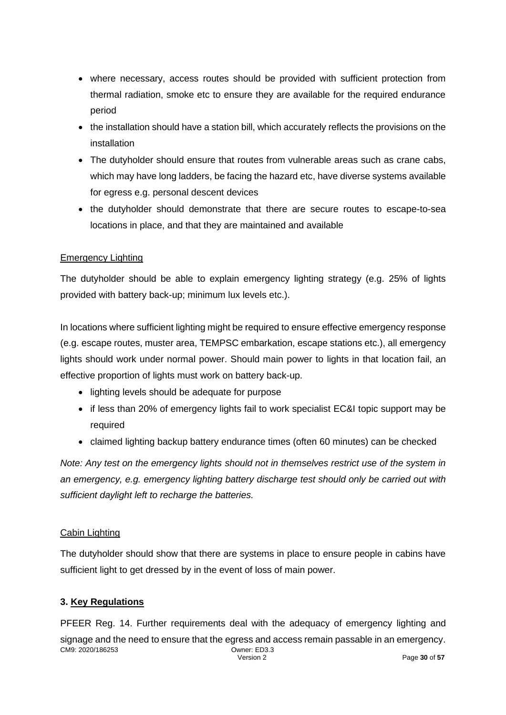- where necessary, access routes should be provided with sufficient protection from thermal radiation, smoke etc to ensure they are available for the required endurance period
- the installation should have a station bill, which accurately reflects the provisions on the installation
- The dutyholder should ensure that routes from vulnerable areas such as crane cabs, which may have long ladders, be facing the hazard etc, have diverse systems available for egress e.g. personal descent devices
- the dutyholder should demonstrate that there are secure routes to escape-to-sea locations in place, and that they are maintained and available

#### Emergency Lighting

The dutyholder should be able to explain emergency lighting strategy (e.g. 25% of lights provided with battery back-up; minimum lux levels etc.).

In locations where sufficient lighting might be required to ensure effective emergency response (e.g. escape routes, muster area, TEMPSC embarkation, escape stations etc.), all emergency lights should work under normal power. Should main power to lights in that location fail, an effective proportion of lights must work on battery back-up.

- lighting levels should be adequate for purpose
- if less than 20% of emergency lights fail to work specialist EC&I topic support may be required
- claimed lighting backup battery endurance times (often 60 minutes) can be checked

*Note: Any test on the emergency lights should not in themselves restrict use of the system in an emergency, e.g. emergency lighting battery discharge test should only be carried out with sufficient daylight left to recharge the batteries.* 

#### Cabin Lighting

The dutyholder should show that there are systems in place to ensure people in cabins have sufficient light to get dressed by in the event of loss of main power.

#### **3. Key Regulations**

CM9: 2020/186253 Owner: ED3.3 Version 2 Page **30** of **57** PFEER Reg. 14. Further requirements deal with the adequacy of emergency lighting and signage and the need to ensure that the egress and access remain passable in an emergency.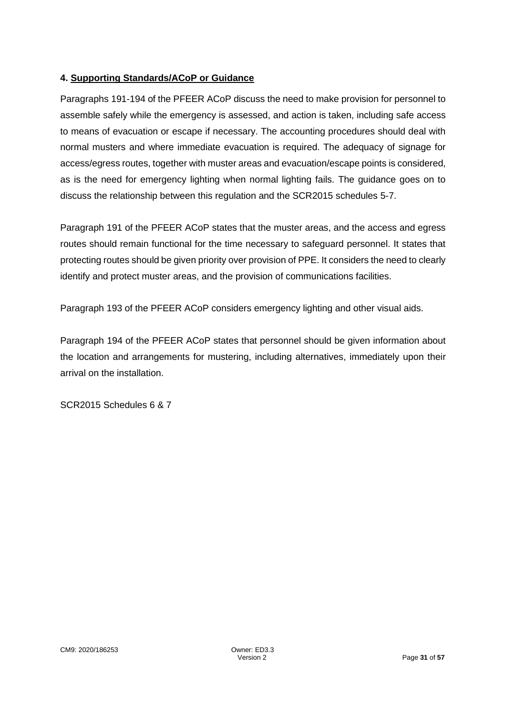## **4. Supporting Standards/ACoP or Guidance**

Paragraphs 191-194 of the PFEER ACoP discuss the need to make provision for personnel to assemble safely while the emergency is assessed, and action is taken, including safe access to means of evacuation or escape if necessary. The accounting procedures should deal with normal musters and where immediate evacuation is required. The adequacy of signage for access/egress routes, together with muster areas and evacuation/escape points is considered, as is the need for emergency lighting when normal lighting fails. The guidance goes on to discuss the relationship between this regulation and the SCR2015 schedules 5-7.

Paragraph 191 of the PFEER ACoP states that the muster areas, and the access and egress routes should remain functional for the time necessary to safeguard personnel. It states that protecting routes should be given priority over provision of PPE. It considers the need to clearly identify and protect muster areas, and the provision of communications facilities.

Paragraph 193 of the PFEER ACoP considers emergency lighting and other visual aids.

Paragraph 194 of the PFEER ACoP states that personnel should be given information about the location and arrangements for mustering, including alternatives, immediately upon their arrival on the installation.

SCR2015 Schedules 6 & 7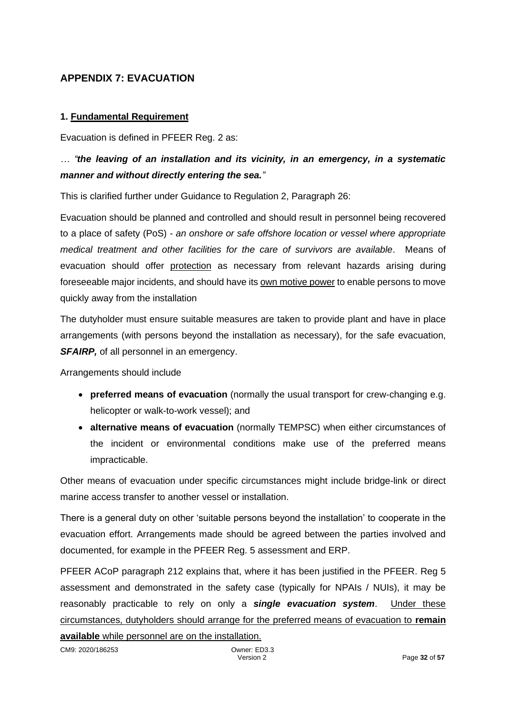## **APPENDIX 7: EVACUATION**

#### **1. Fundamental Requirement**

Evacuation is defined in PFEER Reg. 2 as:

## *… "the leaving of an installation and its vicinity, in an emergency, in a systematic manner and without directly entering the sea."*

This is clarified further under Guidance to Regulation 2, Paragraph 26:

Evacuation should be planned and controlled and should result in personnel being recovered to a place of safety (PoS) - *an onshore or safe offshore location or vessel where appropriate medical treatment and other facilities for the care of survivors are available*. Means of evacuation should offer protection as necessary from relevant hazards arising during foreseeable major incidents, and should have its own motive power to enable persons to move quickly away from the installation

The dutyholder must ensure suitable measures are taken to provide plant and have in place arrangements (with persons beyond the installation as necessary), for the safe evacuation, **SFAIRP**, of all personnel in an emergency.

Arrangements should include

- **preferred means of evacuation** (normally the usual transport for crew-changing e.g. helicopter or walk-to-work vessel); and
- **alternative means of evacuation** (normally TEMPSC) when either circumstances of the incident or environmental conditions make use of the preferred means impracticable.

Other means of evacuation under specific circumstances might include bridge-link or direct marine access transfer to another vessel or installation.

There is a general duty on other 'suitable persons beyond the installation' to cooperate in the evacuation effort. Arrangements made should be agreed between the parties involved and documented, for example in the PFEER Reg. 5 assessment and ERP.

PFEER ACoP paragraph 212 explains that, where it has been justified in the PFEER. Reg 5 assessment and demonstrated in the safety case (typically for NPAIs / NUIs), it may be reasonably practicable to rely on only a *single evacuation system*. Under these circumstances, dutyholders should arrange for the preferred means of evacuation to **remain available** while personnel are on the installation.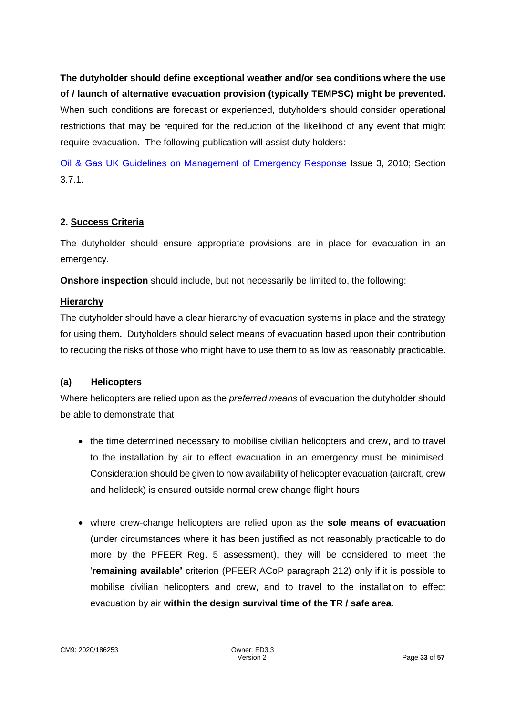**The dutyholder should define exceptional weather and/or sea conditions where the use of / launch of alternative evacuation provision (typically TEMPSC) might be prevented.** When such conditions are forecast or experienced, dutyholders should consider operational restrictions that may be required for the reduction of the likelihood of any event that might require evacuation. The following publication will assist duty holders:

[Oil & Gas UK Guidelines on Management of Emergency Response](https://oilandgasuk.co.uk/product/guidelines-for-the-management-of-emergency-response-for-offshore-installations/) Issue 3, 2010; Section 3.7.1.

#### **2. Success Criteria**

The dutyholder should ensure appropriate provisions are in place for evacuation in an emergency.

**Onshore inspection** should include, but not necessarily be limited to, the following:

#### **Hierarchy**

The dutyholder should have a clear hierarchy of evacuation systems in place and the strategy for using them**.** Dutyholders should select means of evacuation based upon their contribution to reducing the risks of those who might have to use them to as low as reasonably practicable.

#### **(a) Helicopters**

Where helicopters are relied upon as the *preferred means* of evacuation the dutyholder should be able to demonstrate that

- the time determined necessary to mobilise civilian helicopters and crew, and to travel to the installation by air to effect evacuation in an emergency must be minimised. Consideration should be given to how availability of helicopter evacuation (aircraft, crew and helideck) is ensured outside normal crew change flight hours
- where crew-change helicopters are relied upon as the **sole means of evacuation** (under circumstances where it has been justified as not reasonably practicable to do more by the PFEER Reg. 5 assessment), they will be considered to meet the '**remaining available'** criterion (PFEER ACoP paragraph 212) only if it is possible to mobilise civilian helicopters and crew, and to travel to the installation to effect evacuation by air **within the design survival time of the TR / safe area**.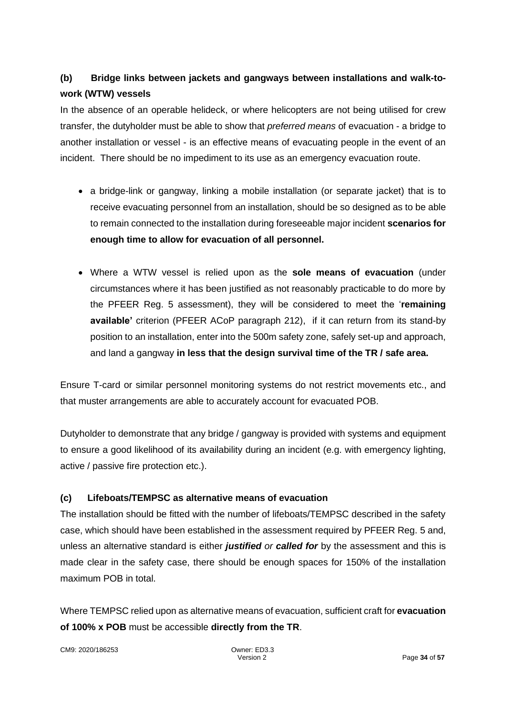# **(b) Bridge links between jackets and gangways between installations and walk-towork (WTW) vessels**

In the absence of an operable helideck, or where helicopters are not being utilised for crew transfer, the dutyholder must be able to show that *preferred means* of evacuation - a bridge to another installation or vessel - is an effective means of evacuating people in the event of an incident. There should be no impediment to its use as an emergency evacuation route.

- a bridge-link or gangway, linking a mobile installation (or separate jacket) that is to receive evacuating personnel from an installation, should be so designed as to be able to remain connected to the installation during foreseeable major incident **scenarios for enough time to allow for evacuation of all personnel.**
- Where a WTW vessel is relied upon as the **sole means of evacuation** (under circumstances where it has been justified as not reasonably practicable to do more by the PFEER Reg. 5 assessment), they will be considered to meet the '**remaining available'** criterion (PFEER ACoP paragraph 212), if it can return from its stand-by position to an installation, enter into the 500m safety zone, safely set-up and approach, and land a gangway **in less that the design survival time of the TR / safe area.**

Ensure T-card or similar personnel monitoring systems do not restrict movements etc., and that muster arrangements are able to accurately account for evacuated POB.

Dutyholder to demonstrate that any bridge / gangway is provided with systems and equipment to ensure a good likelihood of its availability during an incident (e.g. with emergency lighting, active / passive fire protection etc.).

#### **(c) Lifeboats/TEMPSC as alternative means of evacuation**

The installation should be fitted with the number of lifeboats/TEMPSC described in the safety case, which should have been established in the assessment required by PFEER Reg. 5 and, unless an alternative standard is either *justified or called for* by the assessment and this is made clear in the safety case, there should be enough spaces for 150% of the installation maximum POB in total.

Where TEMPSC relied upon as alternative means of evacuation, sufficient craft for **evacuation of 100% x POB** must be accessible **directly from the TR**.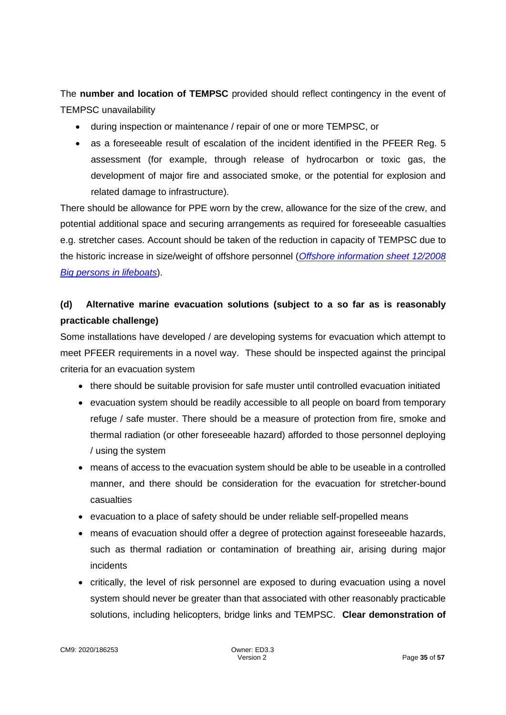The **number and location of TEMPSC** provided should reflect contingency in the event of TEMPSC unavailability

- during inspection or maintenance / repair of one or more TEMPSC, or
- as a foreseeable result of escalation of the incident identified in the PFEER Reg. 5 assessment (for example, through release of hydrocarbon or toxic gas, the development of major fire and associated smoke, or the potential for explosion and related damage to infrastructure).

There should be allowance for PPE worn by the crew, allowance for the size of the crew, and potential additional space and securing arrangements as required for foreseeable casualties e.g. stretcher cases. Account should be taken of the reduction in capacity of TEMPSC due to the historic increase in size/weight of offshore personnel (*[Offshore information sheet 12/2008](https://www.hse.gov.uk/offshore/infosheets/is12-2008.pdf)  [Big persons in lifeboats](https://www.hse.gov.uk/offshore/infosheets/is12-2008.pdf)*).

# **(d) Alternative marine evacuation solutions (subject to a so far as is reasonably practicable challenge)**

Some installations have developed / are developing systems for evacuation which attempt to meet PFEER requirements in a novel way. These should be inspected against the principal criteria for an evacuation system

- there should be suitable provision for safe muster until controlled evacuation initiated
- evacuation system should be readily accessible to all people on board from temporary refuge / safe muster. There should be a measure of protection from fire, smoke and thermal radiation (or other foreseeable hazard) afforded to those personnel deploying / using the system
- means of access to the evacuation system should be able to be useable in a controlled manner, and there should be consideration for the evacuation for stretcher-bound casualties
- evacuation to a place of safety should be under reliable self-propelled means
- means of evacuation should offer a degree of protection against foreseeable hazards, such as thermal radiation or contamination of breathing air, arising during major incidents
- critically, the level of risk personnel are exposed to during evacuation using a novel system should never be greater than that associated with other reasonably practicable solutions, including helicopters, bridge links and TEMPSC. **Clear demonstration of**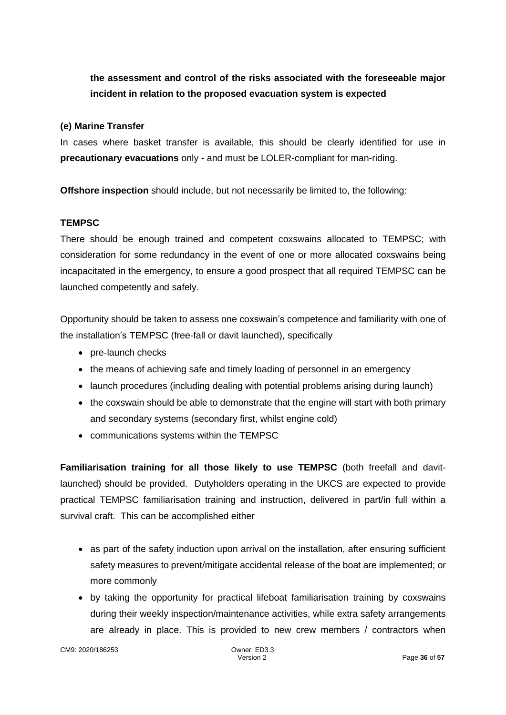# **the assessment and control of the risks associated with the foreseeable major incident in relation to the proposed evacuation system is expected**

#### **(e) Marine Transfer**

In cases where basket transfer is available, this should be clearly identified for use in **precautionary evacuations** only - and must be LOLER-compliant for man-riding.

**Offshore inspection** should include, but not necessarily be limited to, the following:

#### **TEMPSC**

There should be enough trained and competent coxswains allocated to TEMPSC; with consideration for some redundancy in the event of one or more allocated coxswains being incapacitated in the emergency, to ensure a good prospect that all required TEMPSC can be launched competently and safely.

Opportunity should be taken to assess one coxswain's competence and familiarity with one of the installation's TEMPSC (free-fall or davit launched), specifically

- pre-launch checks
- the means of achieving safe and timely loading of personnel in an emergency
- launch procedures (including dealing with potential problems arising during launch)
- the coxswain should be able to demonstrate that the engine will start with both primary and secondary systems (secondary first, whilst engine cold)
- communications systems within the TEMPSC

**Familiarisation training for all those likely to use TEMPSC** (both freefall and davitlaunched) should be provided. Dutyholders operating in the UKCS are expected to provide practical TEMPSC familiarisation training and instruction, delivered in part/in full within a survival craft. This can be accomplished either

- as part of the safety induction upon arrival on the installation, after ensuring sufficient safety measures to prevent/mitigate accidental release of the boat are implemented; or more commonly
- by taking the opportunity for practical lifeboat familiarisation training by coxswains during their weekly inspection/maintenance activities, while extra safety arrangements are already in place. This is provided to new crew members / contractors when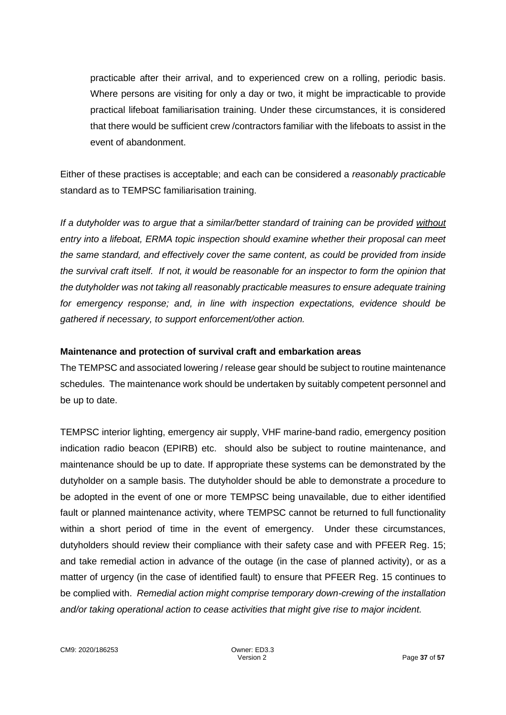practicable after their arrival, and to experienced crew on a rolling, periodic basis. Where persons are visiting for only a day or two, it might be impracticable to provide practical lifeboat familiarisation training. Under these circumstances, it is considered that there would be sufficient crew /contractors familiar with the lifeboats to assist in the event of abandonment.

Either of these practises is acceptable; and each can be considered a *reasonably practicable* standard as to TEMPSC familiarisation training.

*If a dutyholder was to argue that a similar/better standard of training can be provided without entry into a lifeboat, ERMA topic inspection should examine whether their proposal can meet the same standard, and effectively cover the same content, as could be provided from inside the survival craft itself. If not, it would be reasonable for an inspector to form the opinion that the dutyholder was not taking all reasonably practicable measures to ensure adequate training for emergency response; and, in line with inspection expectations, evidence should be gathered if necessary, to support enforcement/other action.*

#### **Maintenance and protection of survival craft and embarkation areas**

The TEMPSC and associated lowering / release gear should be subject to routine maintenance schedules. The maintenance work should be undertaken by suitably competent personnel and be up to date.

TEMPSC interior lighting, emergency air supply, VHF marine-band radio, emergency position indication radio beacon (EPIRB) etc. should also be subject to routine maintenance, and maintenance should be up to date. If appropriate these systems can be demonstrated by the dutyholder on a sample basis. The dutyholder should be able to demonstrate a procedure to be adopted in the event of one or more TEMPSC being unavailable, due to either identified fault or planned maintenance activity, where TEMPSC cannot be returned to full functionality within a short period of time in the event of emergency. Under these circumstances, dutyholders should review their compliance with their safety case and with PFEER Reg. 15; and take remedial action in advance of the outage (in the case of planned activity), or as a matter of urgency (in the case of identified fault) to ensure that PFEER Reg. 15 continues to be complied with. *Remedial action might comprise temporary down-crewing of the installation and/or taking operational action to cease activities that might give rise to major incident.*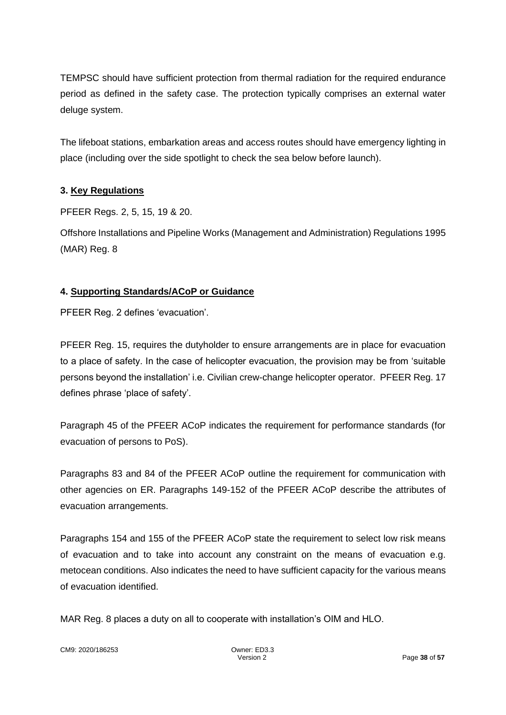TEMPSC should have sufficient protection from thermal radiation for the required endurance period as defined in the safety case. The protection typically comprises an external water deluge system.

The lifeboat stations, embarkation areas and access routes should have emergency lighting in place (including over the side spotlight to check the sea below before launch).

#### **3. Key Regulations**

PFEER Regs. 2, 5, 15, 19 & 20.

Offshore Installations and Pipeline Works (Management and Administration) Regulations 1995 (MAR) Reg. 8

#### **4. Supporting Standards/ACoP or Guidance**

PFEER Reg. 2 defines 'evacuation'.

PFEER Reg. 15, requires the dutyholder to ensure arrangements are in place for evacuation to a place of safety. In the case of helicopter evacuation, the provision may be from 'suitable persons beyond the installation' i.e. Civilian crew-change helicopter operator. PFEER Reg. 17 defines phrase 'place of safety'.

Paragraph 45 of the PFEER ACoP indicates the requirement for performance standards (for evacuation of persons to PoS).

Paragraphs 83 and 84 of the PFEER ACoP outline the requirement for communication with other agencies on ER. Paragraphs 149-152 of the PFEER ACoP describe the attributes of evacuation arrangements.

Paragraphs 154 and 155 of the PFEER ACoP state the requirement to select low risk means of evacuation and to take into account any constraint on the means of evacuation e.g. metocean conditions. Also indicates the need to have sufficient capacity for the various means of evacuation identified.

MAR Reg. 8 places a duty on all to cooperate with installation's OIM and HLO.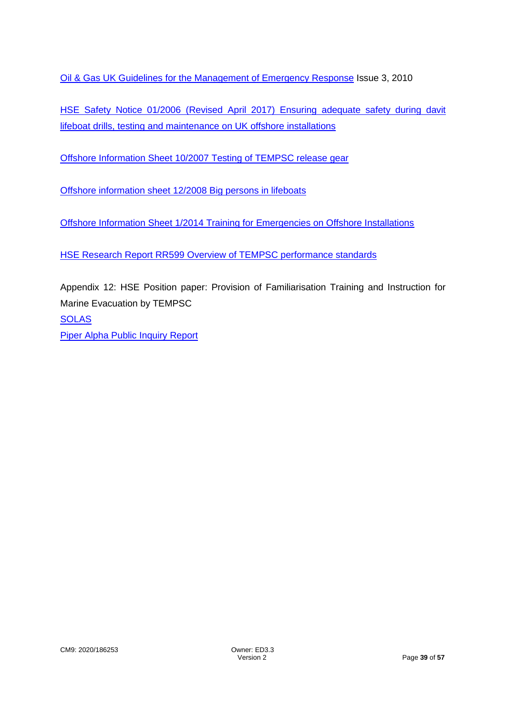Oil & [Gas UK Guidelines for the Management of Emergency Response](https://oilandgasuk.co.uk/product/guidelines-for-the-management-of-emergency-response-for-offshore-installations/) Issue 3, 2010

HSE Safety Notice 01/2006 (Revised April 2017) [Ensuring adequate safety during davit](https://www.hse.gov.uk/offshore/notices/sn_01_06.htm)  [lifeboat drills, testing and maintenance on UK offshore installations](https://www.hse.gov.uk/offshore/notices/sn_01_06.htm)

[Offshore Information Sheet 10/2007 Testing of TEMPSC release gear](https://www.hse.gov.uk/offshore/infosheets/is10-2007.pdf)

[Offshore information sheet 12/2008 Big persons in lifeboats](https://www.hse.gov.uk/offshore/infosheets/is12-2008.pdf)

[Offshore Information Sheet 1/2014 Training for Emergencies on Offshore Installations](https://www.hse.gov.uk/offshore/infosheets/is1-2014.pdf)

[HSE Research Report RR599 Overview of TEMPSC performance standards](https://www.hse.gov.uk/research/rrpdf/rr599.pdf)

Appendix 12: HSE Position paper: Provision of Familiarisation Training and Instruction for Marine Evacuation by TEMPSC **[SOLAS](http://www.imo.org/en/About/Conventions/ListOfConventions/Pages/International-Convention-for-the-Safety-of-Life-at-Sea-(SOLAS),-1974.aspx)** [Piper Alpha Public Inquiry Report](https://www.hse.gov.uk/offshore/piper-alpha-disaster-public-inquiry.htm)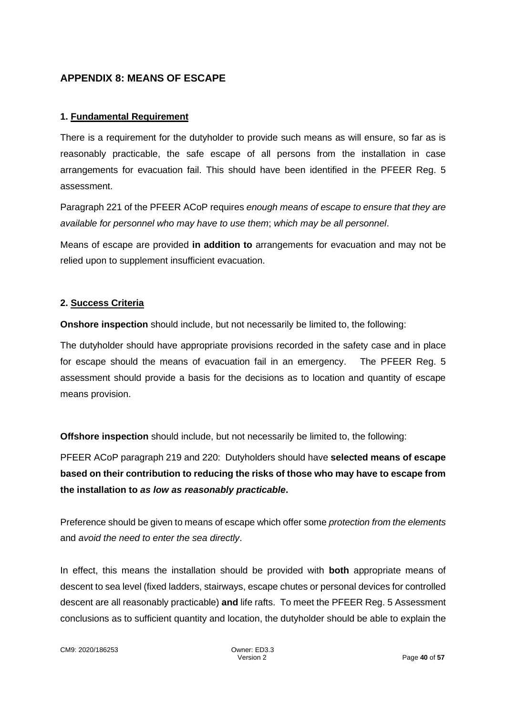## **APPENDIX 8: MEANS OF ESCAPE**

#### **1. Fundamental Requirement**

There is a requirement for the dutyholder to provide such means as will ensure, so far as is reasonably practicable, the safe escape of all persons from the installation in case arrangements for evacuation fail. This should have been identified in the PFEER Reg. 5 assessment.

Paragraph 221 of the PFEER ACoP requires *enough means of escape to ensure that they are available for personnel who may have to use them*; *which may be all personnel*.

Means of escape are provided **in addition to** arrangements for evacuation and may not be relied upon to supplement insufficient evacuation.

#### **2. Success Criteria**

**Onshore inspection** should include, but not necessarily be limited to, the following:

The dutyholder should have appropriate provisions recorded in the safety case and in place for escape should the means of evacuation fail in an emergency. The PFEER Reg. 5 assessment should provide a basis for the decisions as to location and quantity of escape means provision.

**Offshore inspection** should include, but not necessarily be limited to, the following:

PFEER ACoP paragraph 219 and 220: Dutyholders should have **selected means of escape based on their contribution to reducing the risks of those who may have to escape from the installation to** *as low as reasonably practicable***.**

Preference should be given to means of escape which offer some *protection from the elements* and *avoid the need to enter the sea directly*.

In effect, this means the installation should be provided with **both** appropriate means of descent to sea level (fixed ladders, stairways, escape chutes or personal devices for controlled descent are all reasonably practicable) **and** life rafts. To meet the PFEER Reg. 5 Assessment conclusions as to sufficient quantity and location, the dutyholder should be able to explain the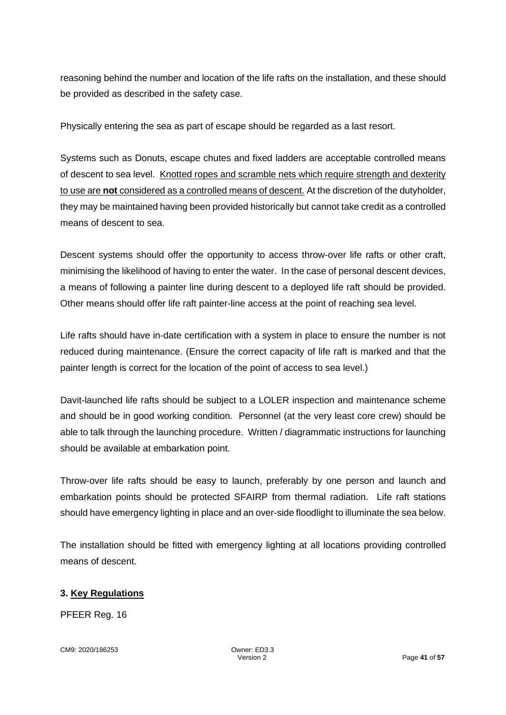reasoning behind the number and location of the life rafts on the installation, and these should be provided as described in the safety case.

Physically entering the sea as part of escape should be regarded as a last resort.

Systems such as Donuts, escape chutes and fixed ladders are acceptable controlled means of descent to sea level. Knotted ropes and scramble nets which require strength and dexterity to use are **not** considered as a controlled means of descent. At the discretion of the dutyholder, they may be maintained having been provided historically but cannot take credit as a controlled means of descent to sea.

Descent systems should offer the opportunity to access throw-over life rafts or other craft, minimising the likelihood of having to enter the water. In the case of personal descent devices, a means of following a painter line during descent to a deployed life raft should be provided. Other means should offer life raft painter-line access at the point of reaching sea level.

Life rafts should have in-date certification with a system in place to ensure the number is not reduced during maintenance. (Ensure the correct capacity of life raft is marked and that the painter length is correct for the location of the point of access to sea level.)

Davit-launched life rafts should be subject to a LOLER inspection and maintenance scheme and should be in good working condition. Personnel (at the very least core crew) should be able to talk through the launching procedure. Written / diagrammatic instructions for launching should be available at embarkation point.

Throw-over life rafts should be easy to launch, preferably by one person and launch and embarkation points should be protected SFAIRP from thermal radiation. Life raft stations should have emergency lighting in place and an over-side floodlight to illuminate the sea below.

The installation should be fitted with emergency lighting at all locations providing controlled means of descent.

## **3. Key Regulations**

PFEER Reg. 16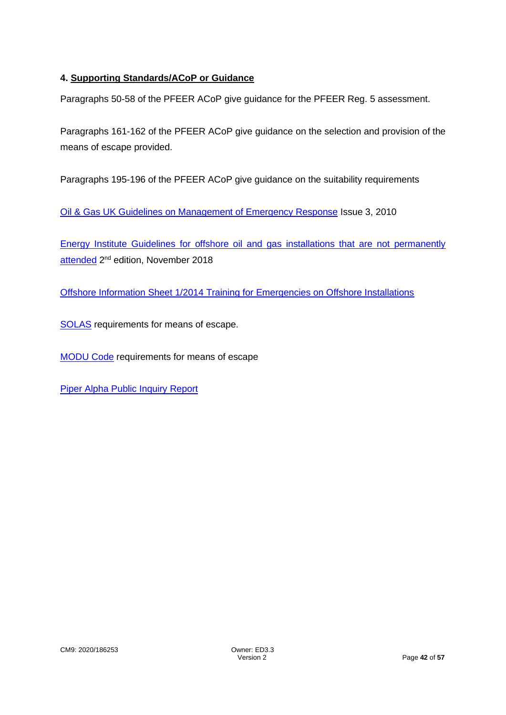## **4. Supporting Standards/ACoP or Guidance**

Paragraphs 50-58 of the PFEER ACoP give guidance for the PFEER Reg. 5 assessment.

Paragraphs 161-162 of the PFEER ACoP give guidance on the selection and provision of the means of escape provided.

Paragraphs 195-196 of the PFEER ACoP give guidance on the suitability requirements

[Oil & Gas UK Guidelines on Management of Emergency Response](https://oilandgasuk.co.uk/product/guidelines-for-the-management-of-emergency-response-for-offshore-installations/) Issue 3, 2010

[Energy Institute Guidelines for offshore oil and gas installations that are not permanently](https://publishing.energyinst.org/topics/offshore-safety/guidelines-for-offshore-oil-and-gas-installations-that-are-not-permanently-attended)  [attended](https://publishing.energyinst.org/topics/offshore-safety/guidelines-for-offshore-oil-and-gas-installations-that-are-not-permanently-attended) 2<sup>nd</sup> edition, November 2018

[Offshore Information Sheet 1/2014 Training for Emergencies on Offshore Installations](https://www.hse.gov.uk/offshore/infosheets/is1-2014.pdf)

[SOLAS](http://www.imo.org/en/About/Conventions/ListOfConventions/Pages/International-Convention-for-the-Safety-of-Life-at-Sea-(SOLAS),-1974.aspx) requirements for means of escape.

[MODU Code](http://rules.dnvgl.com/docs/pdf/gl/maritimerules/gl_iv-6-2_e.pdf) requirements for means of escape

[Piper Alpha Public Inquiry Report](https://www.hse.gov.uk/offshore/piper-alpha-disaster-public-inquiry.htm)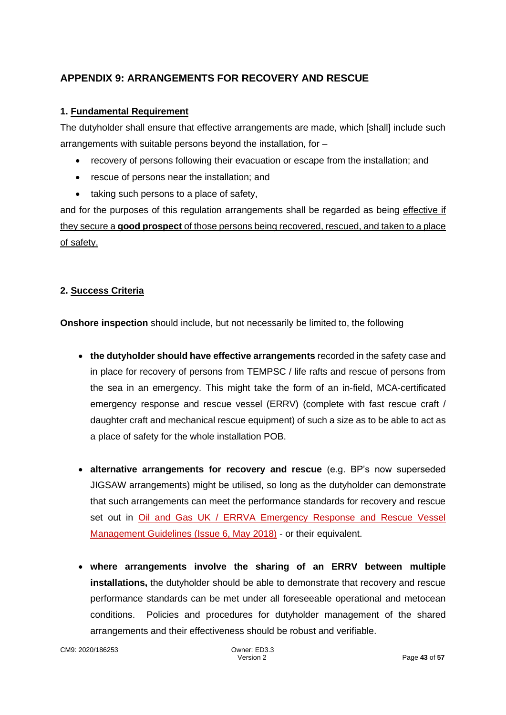## **APPENDIX 9: ARRANGEMENTS FOR RECOVERY AND RESCUE**

#### **1. Fundamental Requirement**

The dutyholder shall ensure that effective arrangements are made, which [shall] include such arrangements with suitable persons beyond the installation, for –

- recovery of persons following their evacuation or escape from the installation; and
- rescue of persons near the installation; and
- taking such persons to a place of safety,

and for the purposes of this regulation arrangements shall be regarded as being effective if they secure a **good prospect** of those persons being recovered, rescued, and taken to a place of safety.

#### **2. Success Criteria**

**Onshore inspection** should include, but not necessarily be limited to, the following

- **the dutyholder should have effective arrangements** recorded in the safety case and in place for recovery of persons from TEMPSC / life rafts and rescue of persons from the sea in an emergency. This might take the form of an in-field, MCA-certificated emergency response and rescue vessel (ERRV) (complete with fast rescue craft / daughter craft and mechanical rescue equipment) of such a size as to be able to act as a place of safety for the whole installation POB.
- **alternative arrangements for recovery and rescue** (e.g. BP's now superseded JIGSAW arrangements) might be utilised, so long as the dutyholder can demonstrate that such arrangements can meet the performance standards for recovery and rescue set out in [Oil and Gas UK / ERRVA Emergency Response and Rescue Vessel](https://oilandgasuk.co.uk/product/emergency-response-rescue-vessel-management-guidelines-issue-6/)  [Management Guidelines \(Issue 6, May 2018\)](https://oilandgasuk.co.uk/product/emergency-response-rescue-vessel-management-guidelines-issue-6/) - or their equivalent.
- **where arrangements involve the sharing of an ERRV between multiple installations,** the dutyholder should be able to demonstrate that recovery and rescue performance standards can be met under all foreseeable operational and metocean conditions. Policies and procedures for dutyholder management of the shared arrangements and their effectiveness should be robust and verifiable.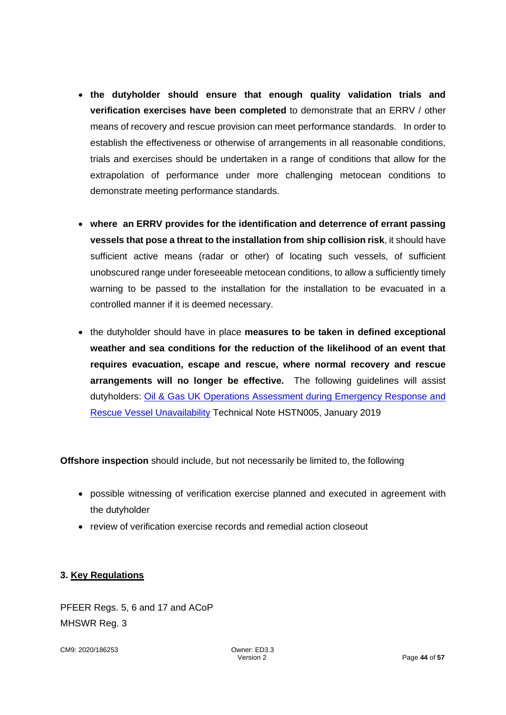- **the dutyholder should ensure that enough quality validation trials and verification exercises have been completed** to demonstrate that an ERRV / other means of recovery and rescue provision can meet performance standards. In order to establish the effectiveness or otherwise of arrangements in all reasonable conditions, trials and exercises should be undertaken in a range of conditions that allow for the extrapolation of performance under more challenging metocean conditions to demonstrate meeting performance standards.
- **where an ERRV provides for the identification and deterrence of errant passing vessels that pose a threat to the installation from ship collision risk**, it should have sufficient active means (radar or other) of locating such vessels, of sufficient unobscured range under foreseeable metocean conditions, to allow a sufficiently timely warning to be passed to the installation for the installation to be evacuated in a controlled manner if it is deemed necessary.
- the dutyholder should have in place **measures to be taken in defined exceptional weather and sea conditions for the reduction of the likelihood of an event that requires evacuation, escape and rescue, where normal recovery and rescue arrangements will no longer be effective.** The following guidelines will assist dutyholders: [Oil & Gas UK Operations Assessment during Emergency Response and](https://oilandgasuk.co.uk/product/security-incident-guidelines-for-offshore-installation-managers-oims/)  [Rescue Vessel Unavailability](https://oilandgasuk.co.uk/product/security-incident-guidelines-for-offshore-installation-managers-oims/) Technical Note HSTN005, January 2019

**Offshore inspection** should include, but not necessarily be limited to, the following

- possible witnessing of verification exercise planned and executed in agreement with the dutyholder
- review of verification exercise records and remedial action closeout

#### **3. Key Regulations**

PFEER Regs. 5, 6 and 17 and ACoP MHSWR Reg. 3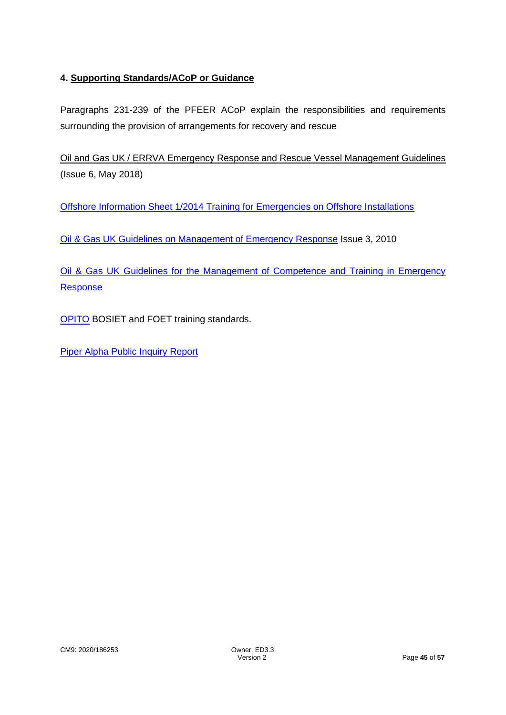## **4. Supporting Standards/ACoP or Guidance**

Paragraphs 231-239 of the PFEER ACoP explain the responsibilities and requirements surrounding the provision of arrangements for recovery and rescue

[Oil and Gas UK / ERRVA Emergency Response and Rescue Vessel Management Guidelines](https://oilandgasuk.co.uk/product/emergency-response-rescue-vessel-management-guidelines/)  [\(Issue 6, May 2018\)](https://oilandgasuk.co.uk/product/emergency-response-rescue-vessel-management-guidelines/)

[Offshore Information Sheet 1/2014 Training for Emergencies on Offshore Installations](https://www.hse.gov.uk/offshore/infosheets/is1-2014.pdf)

[Oil & Gas UK Guidelines on Management of Emergency Response](https://oilandgasuk.co.uk/product/guidelines-for-the-management-of-emergency-response-for-offshore-installations/) Issue 3, 2010

[Oil & Gas UK Guidelines for the Management of Competence and Training in Emergency](https://oilandgasuk.co.uk/product/guidelines-for-the-management-of-competence-and-training-in-emergency-response-for-offshore-installations/)  [Response](https://oilandgasuk.co.uk/product/guidelines-for-the-management-of-competence-and-training-in-emergency-response-for-offshore-installations/)

**[OPITO](https://www.opito.com/) BOSIET and FOET training standards.** 

[Piper Alpha Public Inquiry Report](https://www.hse.gov.uk/offshore/piper-alpha-disaster-public-inquiry.htm)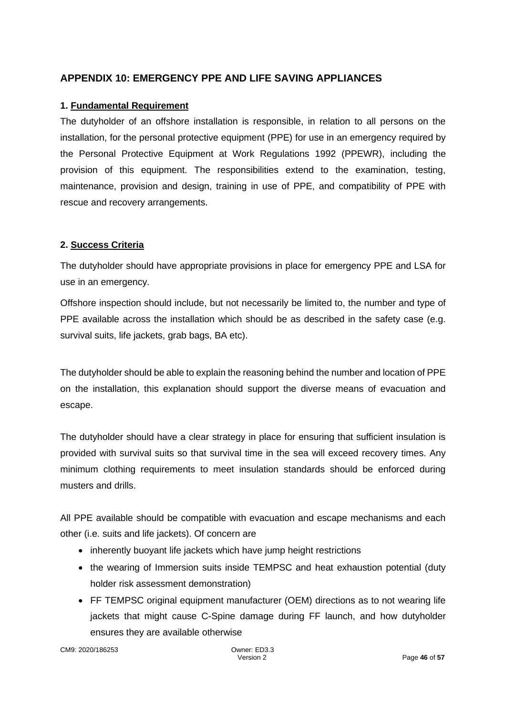## **APPENDIX 10: EMERGENCY PPE AND LIFE SAVING APPLIANCES**

#### **1. Fundamental Requirement**

The dutyholder of an offshore installation is responsible, in relation to all persons on the installation, for the personal protective equipment (PPE) for use in an emergency required by the Personal Protective Equipment at Work Regulations 1992 (PPEWR), including the provision of this equipment. The responsibilities extend to the examination, testing, maintenance, provision and design, training in use of PPE, and compatibility of PPE with rescue and recovery arrangements.

#### **2. Success Criteria**

The dutyholder should have appropriate provisions in place for emergency PPE and LSA for use in an emergency.

Offshore inspection should include, but not necessarily be limited to, the number and type of PPE available across the installation which should be as described in the safety case (e.g. survival suits, life jackets, grab bags, BA etc).

The dutyholder should be able to explain the reasoning behind the number and location of PPE on the installation, this explanation should support the diverse means of evacuation and escape.

The dutyholder should have a clear strategy in place for ensuring that sufficient insulation is provided with survival suits so that survival time in the sea will exceed recovery times. Any minimum clothing requirements to meet insulation standards should be enforced during musters and drills.

All PPE available should be compatible with evacuation and escape mechanisms and each other (i.e. suits and life jackets). Of concern are

- inherently buoyant life jackets which have jump height restrictions
- the wearing of Immersion suits inside TEMPSC and heat exhaustion potential (duty holder risk assessment demonstration)
- FF TEMPSC original equipment manufacturer (OEM) directions as to not wearing life jackets that might cause C-Spine damage during FF launch, and how dutyholder ensures they are available otherwise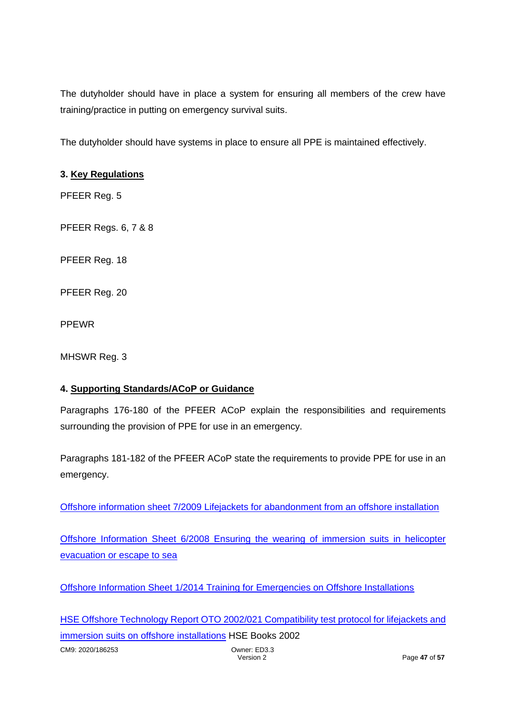The dutyholder should have in place a system for ensuring all members of the crew have training/practice in putting on emergency survival suits.

The dutyholder should have systems in place to ensure all PPE is maintained effectively.

## **3. Key Regulations**

PFEER Reg. 5

PFEER Regs. 6, 7 & 8

PFEER Reg. 18

PFEER Reg. 20

PPEWR

MHSWR Reg. 3

#### **4. Supporting Standards/ACoP or Guidance**

Paragraphs 176-180 of the PFEER ACoP explain the responsibilities and requirements surrounding the provision of PPE for use in an emergency.

Paragraphs 181-182 of the PFEER ACoP state the requirements to provide PPE for use in an emergency.

[Offshore information sheet 7/2009 Lifejackets for abandonment from an offshore installation](https://www.hse.gov.uk/offshore/infosheets/is7-2009.pdf)

[Offshore Information Sheet 6/2008 Ensuring the wearing of immersion suits in helicopter](https://www.hse.gov.uk/offshore/infosheets/is6-2008.pdf)  [evacuation or escape to sea](https://www.hse.gov.uk/offshore/infosheets/is6-2008.pdf)

[Offshore Information Sheet 1/2014 Training for Emergencies on Offshore Installations](https://www.hse.gov.uk/offshore/infosheets/is1-2014.pdf)

CM9: 2020/186253 Owner: ED3.3 [HSE Offshore Technology Report OTO 2002/021 Compatibility test protocol for lifejackets and](https://www.hse.gov.uk/research/otopdf/2002/oto02021.pdf)  [immersion suits on offshore installations](https://www.hse.gov.uk/research/otopdf/2002/oto02021.pdf) HSE Books 2002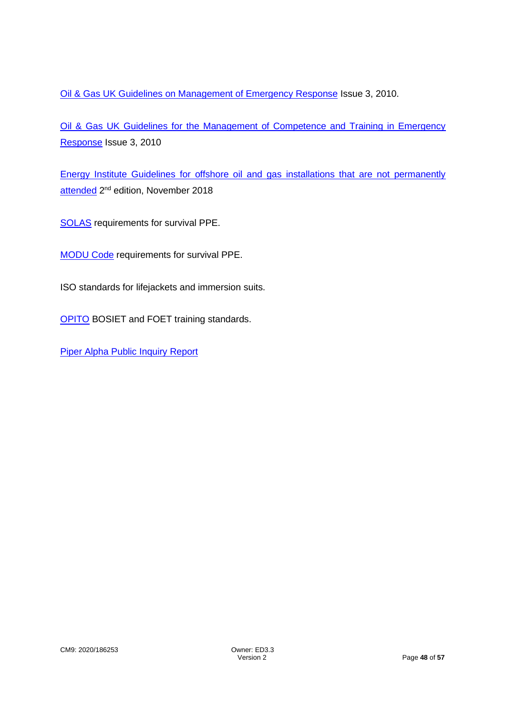[Oil & Gas UK Guidelines on Management of Emergency Response](https://oilandgasuk.co.uk/product/guidelines-for-the-management-of-emergency-response-for-offshore-installations/) Issue 3, 2010.

[Oil & Gas UK Guidelines for the Management of Competence and Training in Emergency](https://oilandgasuk.co.uk/product/guidelines-for-the-management-of-competence-and-training-in-emergency-response-for-offshore-installations/)  [Response](https://oilandgasuk.co.uk/product/guidelines-for-the-management-of-competence-and-training-in-emergency-response-for-offshore-installations/) Issue 3, 2010

[Energy Institute Guidelines for offshore oil and gas installations that are not permanently](https://publishing.energyinst.org/topics/offshore-safety/guidelines-for-offshore-oil-and-gas-installations-that-are-not-permanently-attended)  [attended](https://publishing.energyinst.org/topics/offshore-safety/guidelines-for-offshore-oil-and-gas-installations-that-are-not-permanently-attended) 2<sup>nd</sup> edition, November 2018

[SOLAS](http://www.imo.org/en/About/Conventions/ListOfConventions/Pages/International-Convention-for-the-Safety-of-Life-at-Sea-(SOLAS),-1974.aspx) requirements for survival PPE.

[MODU Code](http://rules.dnvgl.com/docs/pdf/gl/maritimerules/gl_iv-6-2_e.pdf) requirements for survival PPE.

ISO standards for lifejackets and immersion suits.

**[OPITO](https://www.opito.com/) BOSIET and FOET training standards.** 

[Piper Alpha Public Inquiry Report](https://www.hse.gov.uk/offshore/piper-alpha-disaster-public-inquiry.htm)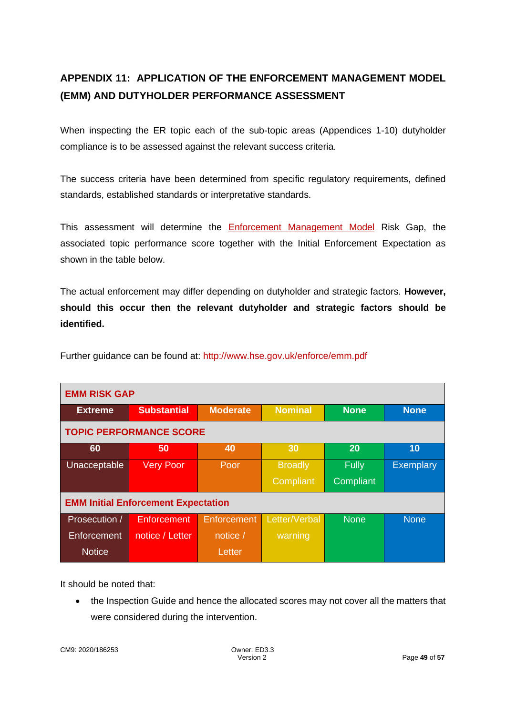# **APPENDIX 11: APPLICATION OF THE ENFORCEMENT MANAGEMENT MODEL (EMM) AND DUTYHOLDER PERFORMANCE ASSESSMENT**

When inspecting the ER topic each of the sub-topic areas (Appendices 1-10) dutyholder compliance is to be assessed against the relevant success criteria.

The success criteria have been determined from specific regulatory requirements, defined standards, established standards or interpretative standards.

This assessment will determine the [Enforcement Management Model](http://www.hse.gov.uk/enforce/emm.pdf) Risk Gap, the associated topic performance score together with the Initial Enforcement Expectation as shown in the table below.

The actual enforcement may differ depending on dutyholder and strategic factors. **However, should this occur then the relevant dutyholder and strategic factors should be identified.**

| <b>EMM RISK GAP</b>                        |                    |                 |                |              |                  |  |
|--------------------------------------------|--------------------|-----------------|----------------|--------------|------------------|--|
| <b>Extreme</b>                             | <b>Substantial</b> | <b>Moderate</b> | <b>Nominal</b> | <b>None</b>  | <b>None</b>      |  |
| <b>TOPIC PERFORMANCE SCORE</b>             |                    |                 |                |              |                  |  |
| 60                                         | 50                 | 40              | 30             | 20           | 10               |  |
| Unacceptable                               | <b>Very Poor</b>   | Poor            | <b>Broadly</b> | <b>Fully</b> | <b>Exemplary</b> |  |
|                                            |                    |                 | Compliant      | Compliant    |                  |  |
| <b>EMM Initial Enforcement Expectation</b> |                    |                 |                |              |                  |  |
| Prosecution /                              | Enforcement        | Enforcement     | Letter/Verbal  | <b>None</b>  | <b>None</b>      |  |
| Enforcement                                | notice / Letter    | notice /        | warning        |              |                  |  |
| <b>Notice</b>                              |                    | Letter          |                |              |                  |  |

Further guidance can be found at:<http://www.hse.gov.uk/enforce/emm.pdf>

It should be noted that:

• the Inspection Guide and hence the allocated scores may not cover all the matters that were considered during the intervention.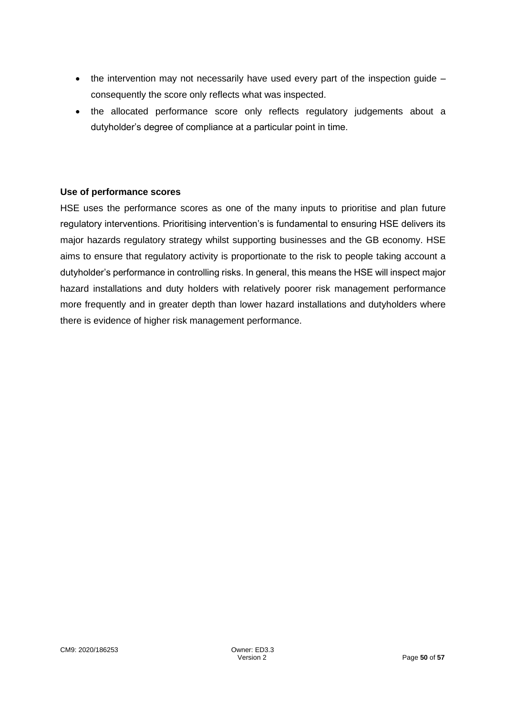- the intervention may not necessarily have used every part of the inspection guide consequently the score only reflects what was inspected.
- the allocated performance score only reflects regulatory judgements about a dutyholder's degree of compliance at a particular point in time.

#### **Use of performance scores**

HSE uses the performance scores as one of the many inputs to prioritise and plan future regulatory interventions. Prioritising intervention's is fundamental to ensuring HSE delivers its major hazards regulatory strategy whilst supporting businesses and the GB economy. HSE aims to ensure that regulatory activity is proportionate to the risk to people taking account a dutyholder's performance in controlling risks. In general, this means the HSE will inspect major hazard installations and duty holders with relatively poorer risk management performance more frequently and in greater depth than lower hazard installations and dutyholders where there is evidence of higher risk management performance.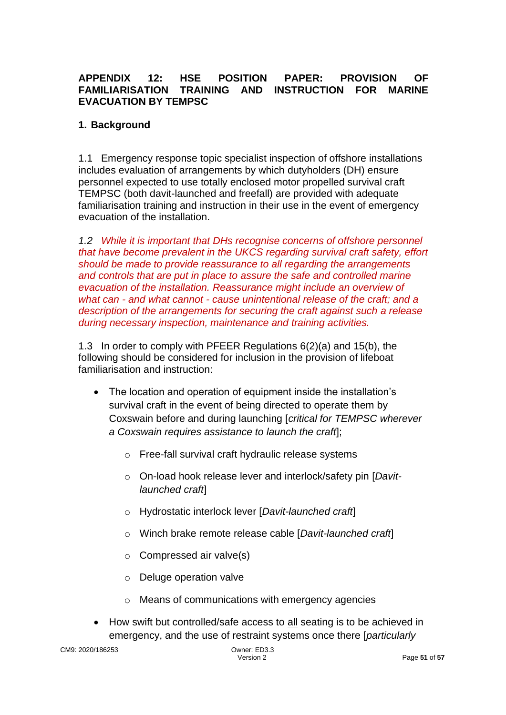## **APPENDIX 12: HSE POSITION PAPER: PROVISION OF FAMILIARISATION TRAINING AND INSTRUCTION FOR MARINE EVACUATION BY TEMPSC**

## **1. Background**

1.1 Emergency response topic specialist inspection of offshore installations includes evaluation of arrangements by which dutyholders (DH) ensure personnel expected to use totally enclosed motor propelled survival craft TEMPSC (both davit-launched and freefall) are provided with adequate familiarisation training and instruction in their use in the event of emergency evacuation of the installation.

*1.2 While it is important that DHs recognise concerns of offshore personnel that have become prevalent in the UKCS regarding survival craft safety, effort should be made to provide reassurance to all regarding the arrangements and controls that are put in place to assure the safe and controlled marine evacuation of the installation. Reassurance might include an overview of what can - and what cannot - cause unintentional release of the craft; and a description of the arrangements for securing the craft against such a release during necessary inspection, maintenance and training activities.* 

1.3 In order to comply with PFEER Regulations 6(2)(a) and 15(b), the following should be considered for inclusion in the provision of lifeboat familiarisation and instruction:

- The location and operation of equipment inside the installation's survival craft in the event of being directed to operate them by Coxswain before and during launching [*critical for TEMPSC wherever a Coxswain requires assistance to launch the craft*];
	- o Free-fall survival craft hydraulic release systems
	- o On-load hook release lever and interlock/safety pin [*Davitlaunched craft*]
	- o Hydrostatic interlock lever [*Davit-launched craft*]
	- o Winch brake remote release cable [*Davit-launched craft*]
	- $\circ$  Compressed air valve(s)
	- o Deluge operation valve
	- o Means of communications with emergency agencies
- How swift but controlled/safe access to all seating is to be achieved in emergency, and the use of restraint systems once there [*particularly*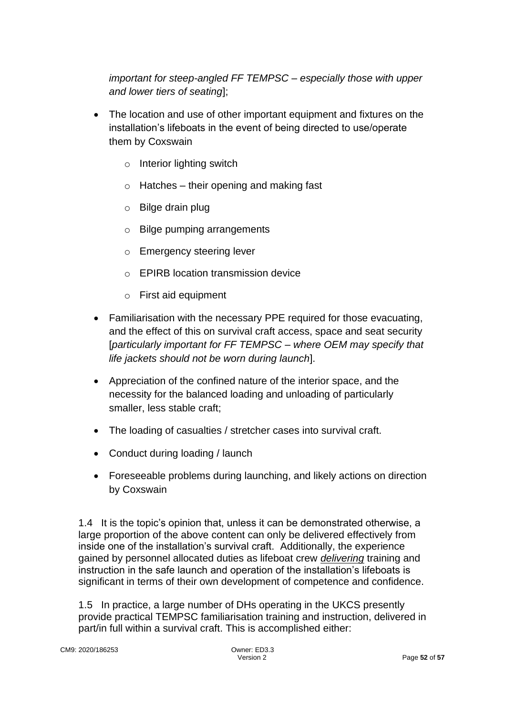*important for steep-angled FF TEMPSC – especially those with upper and lower tiers of seating*];

- The location and use of other important equipment and fixtures on the installation's lifeboats in the event of being directed to use/operate them by Coxswain
	- o Interior lighting switch
	- $\circ$  Hatches their opening and making fast
	- o Bilge drain plug
	- o Bilge pumping arrangements
	- o Emergency steering lever
	- o EPIRB location transmission device
	- o First aid equipment
- Familiarisation with the necessary PPE required for those evacuating, and the effect of this on survival craft access, space and seat security [*particularly important for FF TEMPSC – where OEM may specify that life jackets should not be worn during launch*].
- Appreciation of the confined nature of the interior space, and the necessity for the balanced loading and unloading of particularly smaller, less stable craft;
- The loading of casualties / stretcher cases into survival craft.
- Conduct during loading / launch
- Foreseeable problems during launching, and likely actions on direction by Coxswain

1.4 It is the topic's opinion that, unless it can be demonstrated otherwise, a large proportion of the above content can only be delivered effectively from inside one of the installation's survival craft. Additionally, the experience gained by personnel allocated duties as lifeboat crew *delivering* training and instruction in the safe launch and operation of the installation's lifeboats is significant in terms of their own development of competence and confidence.

1.5 In practice, a large number of DHs operating in the UKCS presently provide practical TEMPSC familiarisation training and instruction, delivered in part/in full within a survival craft. This is accomplished either: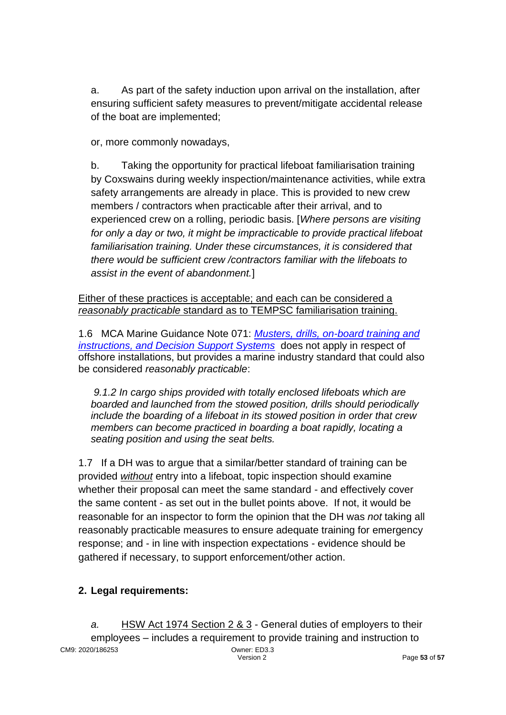a. As part of the safety induction upon arrival on the installation, after ensuring sufficient safety measures to prevent/mitigate accidental release of the boat are implemented;

or, more commonly nowadays,

b. Taking the opportunity for practical lifeboat familiarisation training by Coxswains during weekly inspection/maintenance activities, while extra safety arrangements are already in place. This is provided to new crew members / contractors when practicable after their arrival, and to experienced crew on a rolling, periodic basis. [*Where persons are visiting for only a day or two, it might be impracticable to provide practical lifeboat familiarisation training. Under these circumstances, it is considered that there would be sufficient crew /contractors familiar with the lifeboats to assist in the event of abandonment.*]

Either of these practices is acceptable; and each can be considered a *reasonably practicable* standard as to TEMPSC familiarisation training.

1.6 MCA Marine Guidance Note 071: *[Musters, drills, on-board training and](https://www.gov.uk/government/uploads/system/uploads/attachment_data/file/282336/mgn071.pdf)  [instructions, and Decision Support Systems](https://www.gov.uk/government/uploads/system/uploads/attachment_data/file/282336/mgn071.pdf)* does not apply in respect of offshore installations, but provides a marine industry standard that could also be considered *reasonably practicable*:

*9.1.2 In cargo ships provided with totally enclosed lifeboats which are boarded and launched from the stowed position, drills should periodically include the boarding of a lifeboat in its stowed position in order that crew members can become practiced in boarding a boat rapidly, locating a seating position and using the seat belts.*

1.7 If a DH was to argue that a similar/better standard of training can be provided *without* entry into a lifeboat, topic inspection should examine whether their proposal can meet the same standard - and effectively cover the same content - as set out in the bullet points above. If not, it would be reasonable for an inspector to form the opinion that the DH was *not* taking all reasonably practicable measures to ensure adequate training for emergency response; and - in line with inspection expectations - evidence should be gathered if necessary, to support enforcement/other action.

## **2. Legal requirements:**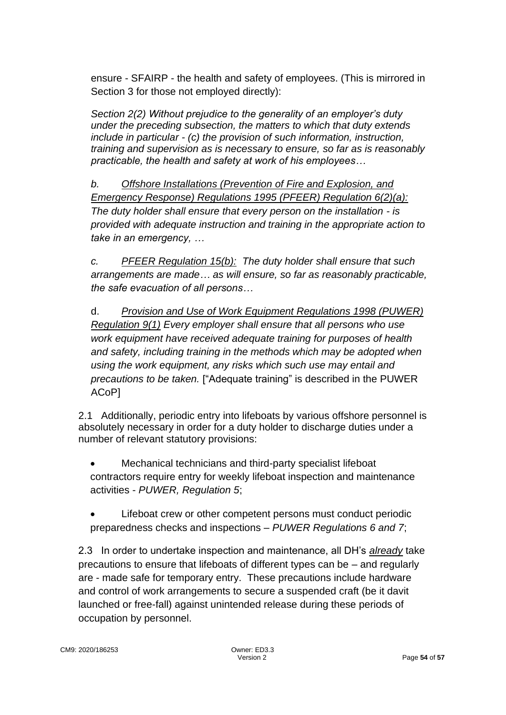ensure - SFAIRP - the health and safety of employees. (This is mirrored in Section 3 for those not employed directly):

*Section 2(2) Without prejudice to the generality of an employer's duty under the preceding subsection, the matters to which that duty extends include in particular - (c) the provision of such information, instruction, training and supervision as is necessary to ensure, so far as is reasonably practicable, the health and safety at work of his employees…*

*b. Offshore Installations (Prevention of Fire and Explosion, and Emergency Response) Regulations 1995 (PFEER) Regulation 6(2)(a): The duty holder shall ensure that every person on the installation - is provided with adequate instruction and training in the appropriate action to take in an emergency, …* 

*c. PFEER Regulation 15(b): The duty holder shall ensure that such arrangements are made… as will ensure, so far as reasonably practicable, the safe evacuation of all persons…*

d. *Provision and Use of Work Equipment Regulations 1998 (PUWER) Regulation 9(1) Every employer shall ensure that all persons who use work equipment have received adequate training for purposes of health and safety, including training in the methods which may be adopted when using the work equipment, any risks which such use may entail and precautions to be taken.* ["Adequate training" is described in the PUWER ACoP]

2.1 Additionally, periodic entry into lifeboats by various offshore personnel is absolutely necessary in order for a duty holder to discharge duties under a number of relevant statutory provisions:

- Mechanical technicians and third-party specialist lifeboat contractors require entry for weekly lifeboat inspection and maintenance activities - *PUWER, Regulation 5*;
- Lifeboat crew or other competent persons must conduct periodic preparedness checks and inspections – *PUWER Regulations 6 and 7*;

2.3 In order to undertake inspection and maintenance, all DH's *already* take precautions to ensure that lifeboats of different types can be – and regularly are - made safe for temporary entry. These precautions include hardware and control of work arrangements to secure a suspended craft (be it davit launched or free-fall) against unintended release during these periods of occupation by personnel.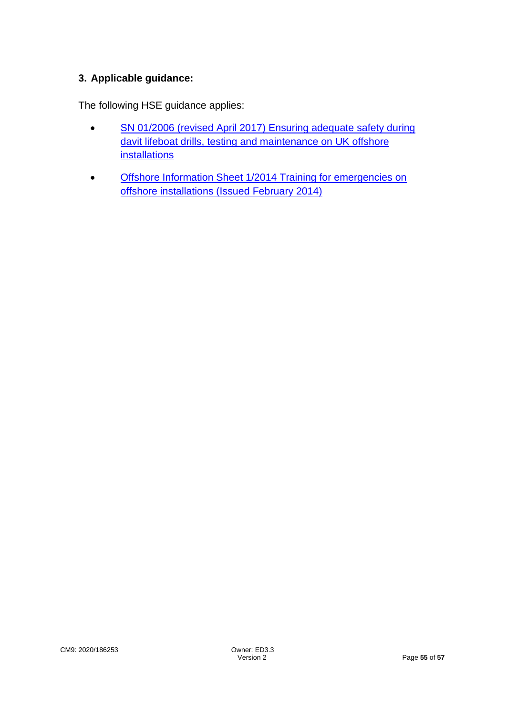## **3. Applicable guidance:**

The following HSE guidance applies:

- SN 01/2006 (revised April 2017) Ensuring adequate safety during davit lifeboat drills, testing and maintenance on UK offshore [installations](http://www.hse.gov.uk/offshore/notices/sn_01_06.htm)
- Offshore Information Sheet 1/2014 Training for emergencies on [offshore installations \(Issued February 2014\)](http://www.hse.gov.uk/offshore/infosheets/is1-2014.pdf)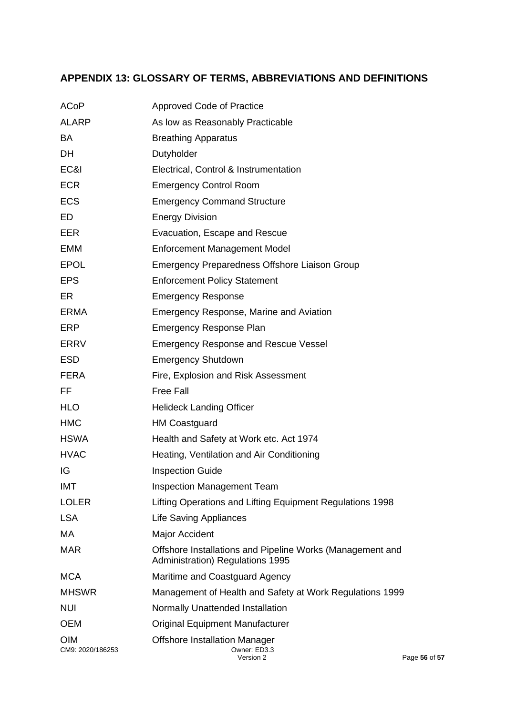## **APPENDIX 13: GLOSSARY OF TERMS, ABBREVIATIONS AND DEFINITIONS**

| <b>ACoP</b>                    | <b>Approved Code of Practice</b>                                                              |               |
|--------------------------------|-----------------------------------------------------------------------------------------------|---------------|
| <b>ALARP</b>                   | As low as Reasonably Practicable                                                              |               |
| BA                             | <b>Breathing Apparatus</b>                                                                    |               |
| DH                             | Dutyholder                                                                                    |               |
| EC&I                           | Electrical, Control & Instrumentation                                                         |               |
| <b>ECR</b>                     | <b>Emergency Control Room</b>                                                                 |               |
| <b>ECS</b>                     | <b>Emergency Command Structure</b>                                                            |               |
| ED                             | <b>Energy Division</b>                                                                        |               |
| EER                            | Evacuation, Escape and Rescue                                                                 |               |
| <b>EMM</b>                     | <b>Enforcement Management Model</b>                                                           |               |
| <b>EPOL</b>                    | Emergency Preparedness Offshore Liaison Group                                                 |               |
| <b>EPS</b>                     | <b>Enforcement Policy Statement</b>                                                           |               |
| ER                             | <b>Emergency Response</b>                                                                     |               |
| <b>ERMA</b>                    | <b>Emergency Response, Marine and Aviation</b>                                                |               |
| <b>ERP</b>                     | <b>Emergency Response Plan</b>                                                                |               |
| <b>ERRV</b>                    | <b>Emergency Response and Rescue Vessel</b>                                                   |               |
| <b>ESD</b>                     | <b>Emergency Shutdown</b>                                                                     |               |
| <b>FERA</b>                    | Fire, Explosion and Risk Assessment                                                           |               |
| FF                             | <b>Free Fall</b>                                                                              |               |
| <b>HLO</b>                     | <b>Helideck Landing Officer</b>                                                               |               |
| <b>HMC</b>                     | <b>HM Coastguard</b>                                                                          |               |
| <b>HSWA</b>                    | Health and Safety at Work etc. Act 1974                                                       |               |
| <b>HVAC</b>                    | Heating, Ventilation and Air Conditioning                                                     |               |
| IG                             | <b>Inspection Guide</b>                                                                       |               |
| IMT                            | <b>Inspection Management Team</b>                                                             |               |
| <b>LOLER</b>                   | Lifting Operations and Lifting Equipment Regulations 1998                                     |               |
| <b>LSA</b>                     | <b>Life Saving Appliances</b>                                                                 |               |
| МA                             | Major Accident                                                                                |               |
| <b>MAR</b>                     | Offshore Installations and Pipeline Works (Management and<br>Administration) Regulations 1995 |               |
| <b>MCA</b>                     | Maritime and Coastguard Agency                                                                |               |
| <b>MHSWR</b>                   | Management of Health and Safety at Work Regulations 1999                                      |               |
| <b>NUI</b>                     | Normally Unattended Installation                                                              |               |
| <b>OEM</b>                     | <b>Original Equipment Manufacturer</b>                                                        |               |
| <b>OIM</b><br>CM9: 2020/186253 | <b>Offshore Installation Manager</b><br>Owner: ED3.3<br>Version 2                             | Page 56 of 57 |